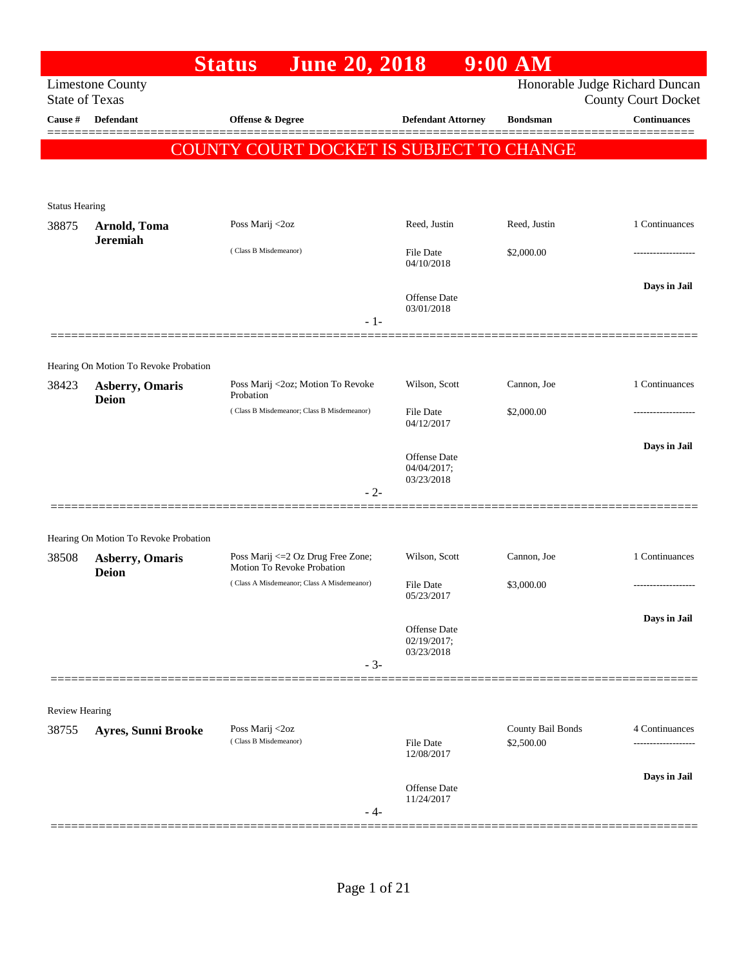|                       |                                        | <b>June 20, 2018</b><br><b>Status</b>                            |                                           | $9:00$ AM                       |                                                              |
|-----------------------|----------------------------------------|------------------------------------------------------------------|-------------------------------------------|---------------------------------|--------------------------------------------------------------|
| <b>State of Texas</b> | <b>Limestone County</b>                |                                                                  |                                           |                                 | Honorable Judge Richard Duncan<br><b>County Court Docket</b> |
| Cause #               | <b>Defendant</b>                       | Offense & Degree                                                 | <b>Defendant Attorney</b>                 | <b>Bondsman</b>                 | <b>Continuances</b>                                          |
|                       |                                        | COUNTY COURT DOCKET IS SUBJECT TO CHANGE                         |                                           |                                 |                                                              |
| <b>Status Hearing</b> |                                        |                                                                  |                                           |                                 |                                                              |
| 38875                 | Arnold, Toma                           | Poss Marij <2oz                                                  | Reed, Justin                              | Reed, Justin                    | 1 Continuances                                               |
|                       | <b>Jeremiah</b>                        | (Class B Misdemeanor)                                            | File Date<br>04/10/2018                   | \$2,000.00                      |                                                              |
|                       |                                        |                                                                  | Offense Date<br>03/01/2018<br>$-1-$       |                                 | Days in Jail                                                 |
|                       |                                        |                                                                  |                                           |                                 |                                                              |
|                       | Hearing On Motion To Revoke Probation  |                                                                  |                                           |                                 |                                                              |
| 38423                 | <b>Asberry, Omaris</b><br><b>Deion</b> | Poss Marij <2oz; Motion To Revoke<br>Probation                   | Wilson, Scott                             | Cannon, Joe                     | 1 Continuances                                               |
|                       |                                        | (Class B Misdemeanor; Class B Misdemeanor)                       | File Date<br>04/12/2017                   | \$2,000.00                      |                                                              |
|                       |                                        |                                                                  | Offense Date<br>04/04/2017;<br>03/23/2018 |                                 | Days in Jail                                                 |
|                       |                                        |                                                                  | $-2-$                                     |                                 |                                                              |
|                       | Hearing On Motion To Revoke Probation  |                                                                  |                                           |                                 |                                                              |
| 38508                 | <b>Asberry, Omaris</b><br><b>Deion</b> | Poss Marij <= 2 Oz Drug Free Zone;<br>Motion To Revoke Probation | Wilson, Scott                             | Cannon, Joe                     | 1 Continuances                                               |
|                       |                                        | (Class A Misdemeanor; Class A Misdemeanor)                       | <b>File Date</b><br>05/23/2017            | \$3,000.00                      |                                                              |
|                       |                                        |                                                                  | Offense Date<br>02/19/2017;<br>03/23/2018 |                                 | Days in Jail                                                 |
|                       |                                        |                                                                  | $-3-$                                     |                                 |                                                              |
| <b>Review Hearing</b> |                                        |                                                                  |                                           |                                 |                                                              |
| 38755                 | Ayres, Sunni Brooke                    | Poss Marij <2oz<br>(Class B Misdemeanor)                         | <b>File Date</b>                          | County Bail Bonds<br>\$2,500.00 | 4 Continuances                                               |
|                       |                                        |                                                                  | 12/08/2017                                |                                 |                                                              |
|                       |                                        |                                                                  | Offense Date<br>11/24/2017<br>- 4-        |                                 | Days in Jail                                                 |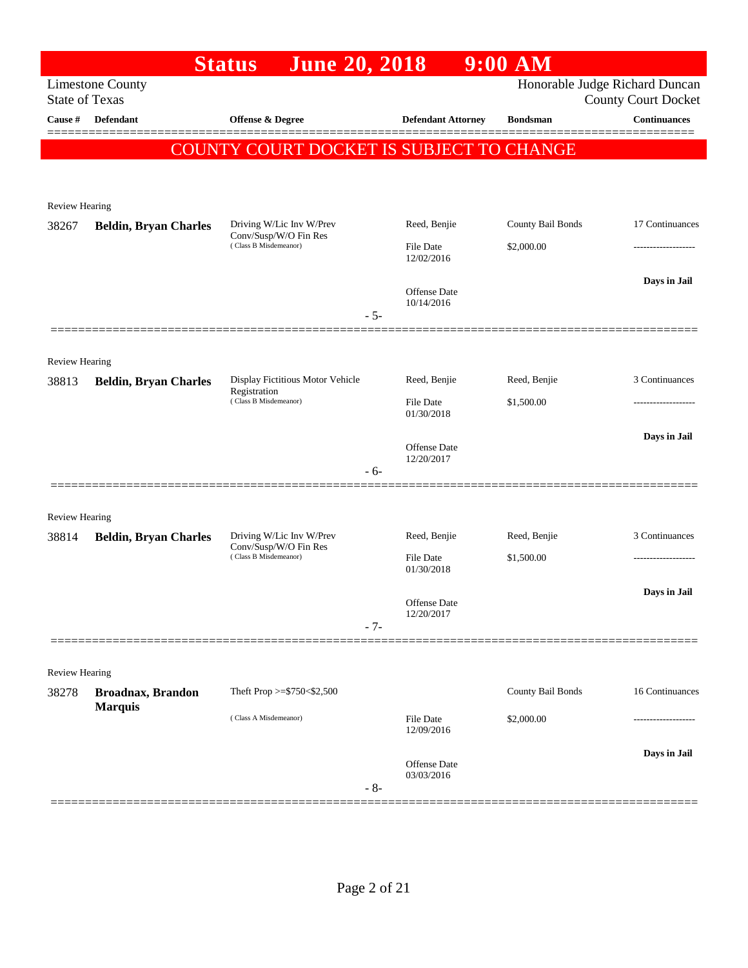| Honorable Judge Richard Duncan<br><b>Limestone County</b><br><b>State of Texas</b><br><b>County Court Docket</b><br>Continuances<br>Cause #<br><b>Defendant</b><br><b>Offense &amp; Degree</b><br><b>Defendant Attorney</b><br><b>Bondsman</b><br><b>COUNTY COURT DOCKET IS SUBJECT TO CHANGE</b><br>Review Hearing<br>Reed, Benjie<br>County Bail Bonds<br>17 Continuances<br>Driving W/Lic Inv W/Prev<br>38267<br><b>Beldin, Bryan Charles</b><br>Conv/Susp/W/O Fin Res<br>(Class B Misdemeanor)<br><b>File Date</b><br>\$2,000.00<br>12/02/2016<br>Days in Jail<br><b>Offense Date</b><br>10/14/2016<br>$-5-$<br>Review Hearing<br>Display Fictitious Motor Vehicle<br>Reed, Benjie<br>Reed, Benjie<br>38813<br><b>Beldin, Bryan Charles</b><br>Registration<br>(Class B Misdemeanor)<br>\$1,500.00<br><b>File Date</b><br>01/30/2018<br>Days in Jail<br>Offense Date<br>12/20/2017<br>- 6-<br><b>Review Hearing</b><br>Driving W/Lic Inv W/Prev<br>Reed, Benjie<br>Reed, Benjie<br>38814<br><b>Beldin, Bryan Charles</b><br>Conv/Susp/W/O Fin Res<br>(Class B Misdemeanor)<br><b>File Date</b><br>\$1,500.00<br>-----------------<br>01/30/2018<br>Days in Jail<br>Offense Date<br>12/20/2017<br>$-7-$<br>Review Hearing<br>County Bail Bonds<br>16 Continuances<br>Theft Prop >= $$750<$2,500$<br>38278<br><b>Broadnax, Brandon</b><br><b>Marquis</b><br>(Class A Misdemeanor)<br><b>File Date</b><br>\$2,000.00<br>----------------<br>12/09/2016<br>Offense Date<br>03/03/2016<br>$-8-$ |  | <b>June 20, 2018</b><br><b>Status</b> |  | $9:00$ AM |                |
|------------------------------------------------------------------------------------------------------------------------------------------------------------------------------------------------------------------------------------------------------------------------------------------------------------------------------------------------------------------------------------------------------------------------------------------------------------------------------------------------------------------------------------------------------------------------------------------------------------------------------------------------------------------------------------------------------------------------------------------------------------------------------------------------------------------------------------------------------------------------------------------------------------------------------------------------------------------------------------------------------------------------------------------------------------------------------------------------------------------------------------------------------------------------------------------------------------------------------------------------------------------------------------------------------------------------------------------------------------------------------------------------------------------------------------------------------------------------------------------------|--|---------------------------------------|--|-----------|----------------|
|                                                                                                                                                                                                                                                                                                                                                                                                                                                                                                                                                                                                                                                                                                                                                                                                                                                                                                                                                                                                                                                                                                                                                                                                                                                                                                                                                                                                                                                                                                |  |                                       |  |           |                |
|                                                                                                                                                                                                                                                                                                                                                                                                                                                                                                                                                                                                                                                                                                                                                                                                                                                                                                                                                                                                                                                                                                                                                                                                                                                                                                                                                                                                                                                                                                |  |                                       |  |           |                |
|                                                                                                                                                                                                                                                                                                                                                                                                                                                                                                                                                                                                                                                                                                                                                                                                                                                                                                                                                                                                                                                                                                                                                                                                                                                                                                                                                                                                                                                                                                |  |                                       |  |           |                |
|                                                                                                                                                                                                                                                                                                                                                                                                                                                                                                                                                                                                                                                                                                                                                                                                                                                                                                                                                                                                                                                                                                                                                                                                                                                                                                                                                                                                                                                                                                |  |                                       |  |           |                |
|                                                                                                                                                                                                                                                                                                                                                                                                                                                                                                                                                                                                                                                                                                                                                                                                                                                                                                                                                                                                                                                                                                                                                                                                                                                                                                                                                                                                                                                                                                |  |                                       |  |           |                |
|                                                                                                                                                                                                                                                                                                                                                                                                                                                                                                                                                                                                                                                                                                                                                                                                                                                                                                                                                                                                                                                                                                                                                                                                                                                                                                                                                                                                                                                                                                |  |                                       |  |           |                |
|                                                                                                                                                                                                                                                                                                                                                                                                                                                                                                                                                                                                                                                                                                                                                                                                                                                                                                                                                                                                                                                                                                                                                                                                                                                                                                                                                                                                                                                                                                |  |                                       |  |           |                |
|                                                                                                                                                                                                                                                                                                                                                                                                                                                                                                                                                                                                                                                                                                                                                                                                                                                                                                                                                                                                                                                                                                                                                                                                                                                                                                                                                                                                                                                                                                |  |                                       |  |           |                |
|                                                                                                                                                                                                                                                                                                                                                                                                                                                                                                                                                                                                                                                                                                                                                                                                                                                                                                                                                                                                                                                                                                                                                                                                                                                                                                                                                                                                                                                                                                |  |                                       |  |           |                |
|                                                                                                                                                                                                                                                                                                                                                                                                                                                                                                                                                                                                                                                                                                                                                                                                                                                                                                                                                                                                                                                                                                                                                                                                                                                                                                                                                                                                                                                                                                |  |                                       |  |           |                |
|                                                                                                                                                                                                                                                                                                                                                                                                                                                                                                                                                                                                                                                                                                                                                                                                                                                                                                                                                                                                                                                                                                                                                                                                                                                                                                                                                                                                                                                                                                |  |                                       |  |           |                |
|                                                                                                                                                                                                                                                                                                                                                                                                                                                                                                                                                                                                                                                                                                                                                                                                                                                                                                                                                                                                                                                                                                                                                                                                                                                                                                                                                                                                                                                                                                |  |                                       |  |           |                |
|                                                                                                                                                                                                                                                                                                                                                                                                                                                                                                                                                                                                                                                                                                                                                                                                                                                                                                                                                                                                                                                                                                                                                                                                                                                                                                                                                                                                                                                                                                |  |                                       |  |           | 3 Continuances |
|                                                                                                                                                                                                                                                                                                                                                                                                                                                                                                                                                                                                                                                                                                                                                                                                                                                                                                                                                                                                                                                                                                                                                                                                                                                                                                                                                                                                                                                                                                |  |                                       |  |           |                |
|                                                                                                                                                                                                                                                                                                                                                                                                                                                                                                                                                                                                                                                                                                                                                                                                                                                                                                                                                                                                                                                                                                                                                                                                                                                                                                                                                                                                                                                                                                |  |                                       |  |           |                |
|                                                                                                                                                                                                                                                                                                                                                                                                                                                                                                                                                                                                                                                                                                                                                                                                                                                                                                                                                                                                                                                                                                                                                                                                                                                                                                                                                                                                                                                                                                |  |                                       |  |           |                |
|                                                                                                                                                                                                                                                                                                                                                                                                                                                                                                                                                                                                                                                                                                                                                                                                                                                                                                                                                                                                                                                                                                                                                                                                                                                                                                                                                                                                                                                                                                |  |                                       |  |           |                |
|                                                                                                                                                                                                                                                                                                                                                                                                                                                                                                                                                                                                                                                                                                                                                                                                                                                                                                                                                                                                                                                                                                                                                                                                                                                                                                                                                                                                                                                                                                |  |                                       |  |           |                |
|                                                                                                                                                                                                                                                                                                                                                                                                                                                                                                                                                                                                                                                                                                                                                                                                                                                                                                                                                                                                                                                                                                                                                                                                                                                                                                                                                                                                                                                                                                |  |                                       |  |           |                |
|                                                                                                                                                                                                                                                                                                                                                                                                                                                                                                                                                                                                                                                                                                                                                                                                                                                                                                                                                                                                                                                                                                                                                                                                                                                                                                                                                                                                                                                                                                |  |                                       |  |           | 3 Continuances |
|                                                                                                                                                                                                                                                                                                                                                                                                                                                                                                                                                                                                                                                                                                                                                                                                                                                                                                                                                                                                                                                                                                                                                                                                                                                                                                                                                                                                                                                                                                |  |                                       |  |           |                |
|                                                                                                                                                                                                                                                                                                                                                                                                                                                                                                                                                                                                                                                                                                                                                                                                                                                                                                                                                                                                                                                                                                                                                                                                                                                                                                                                                                                                                                                                                                |  |                                       |  |           |                |
|                                                                                                                                                                                                                                                                                                                                                                                                                                                                                                                                                                                                                                                                                                                                                                                                                                                                                                                                                                                                                                                                                                                                                                                                                                                                                                                                                                                                                                                                                                |  |                                       |  |           |                |
|                                                                                                                                                                                                                                                                                                                                                                                                                                                                                                                                                                                                                                                                                                                                                                                                                                                                                                                                                                                                                                                                                                                                                                                                                                                                                                                                                                                                                                                                                                |  |                                       |  |           |                |
|                                                                                                                                                                                                                                                                                                                                                                                                                                                                                                                                                                                                                                                                                                                                                                                                                                                                                                                                                                                                                                                                                                                                                                                                                                                                                                                                                                                                                                                                                                |  |                                       |  |           |                |
|                                                                                                                                                                                                                                                                                                                                                                                                                                                                                                                                                                                                                                                                                                                                                                                                                                                                                                                                                                                                                                                                                                                                                                                                                                                                                                                                                                                                                                                                                                |  |                                       |  |           |                |
|                                                                                                                                                                                                                                                                                                                                                                                                                                                                                                                                                                                                                                                                                                                                                                                                                                                                                                                                                                                                                                                                                                                                                                                                                                                                                                                                                                                                                                                                                                |  |                                       |  |           |                |
|                                                                                                                                                                                                                                                                                                                                                                                                                                                                                                                                                                                                                                                                                                                                                                                                                                                                                                                                                                                                                                                                                                                                                                                                                                                                                                                                                                                                                                                                                                |  |                                       |  |           |                |
|                                                                                                                                                                                                                                                                                                                                                                                                                                                                                                                                                                                                                                                                                                                                                                                                                                                                                                                                                                                                                                                                                                                                                                                                                                                                                                                                                                                                                                                                                                |  |                                       |  |           | Days in Jail   |
|                                                                                                                                                                                                                                                                                                                                                                                                                                                                                                                                                                                                                                                                                                                                                                                                                                                                                                                                                                                                                                                                                                                                                                                                                                                                                                                                                                                                                                                                                                |  |                                       |  |           |                |
|                                                                                                                                                                                                                                                                                                                                                                                                                                                                                                                                                                                                                                                                                                                                                                                                                                                                                                                                                                                                                                                                                                                                                                                                                                                                                                                                                                                                                                                                                                |  |                                       |  |           |                |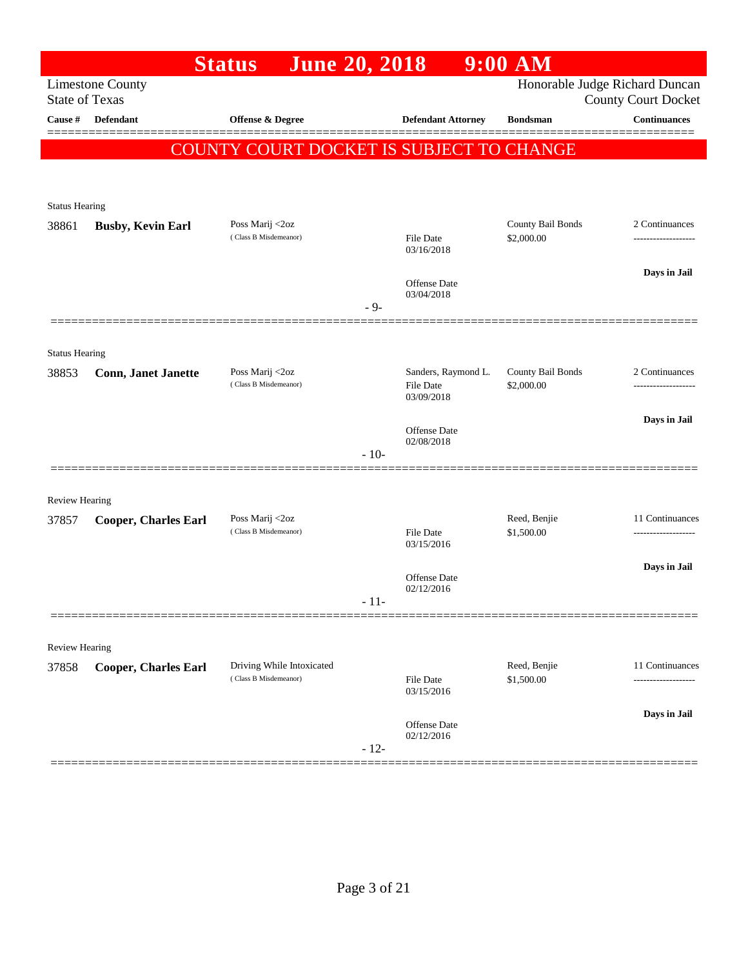|                       |                                                  | <b>June 20, 2018</b><br><b>Status</b>              |        |                                                | $9:00$ AM                       |                                        |
|-----------------------|--------------------------------------------------|----------------------------------------------------|--------|------------------------------------------------|---------------------------------|----------------------------------------|
|                       | <b>Limestone County</b><br><b>State of Texas</b> |                                                    |        |                                                | Honorable Judge Richard Duncan  | <b>County Court Docket</b>             |
| Cause #               | Defendant                                        | Offense & Degree                                   |        | <b>Defendant Attorney</b>                      | <b>Bondsman</b>                 | <b>Continuances</b>                    |
|                       |                                                  | COUNTY COURT DOCKET IS SUBJECT TO CHANGE           |        |                                                |                                 |                                        |
| <b>Status Hearing</b> |                                                  |                                                    |        |                                                |                                 |                                        |
| 38861                 | <b>Busby, Kevin Earl</b>                         | Poss Marij <2oz                                    |        |                                                | County Bail Bonds               | 2 Continuances                         |
|                       |                                                  | (Class B Misdemeanor)                              |        | File Date<br>03/16/2018                        | \$2,000.00                      |                                        |
|                       |                                                  |                                                    |        | Offense Date<br>03/04/2018                     |                                 | Days in Jail                           |
|                       |                                                  |                                                    | $-9-$  |                                                |                                 |                                        |
| <b>Status Hearing</b> |                                                  |                                                    |        |                                                |                                 |                                        |
| 38853                 | <b>Conn, Janet Janette</b>                       | Poss Marij <2oz<br>(Class B Misdemeanor)           |        | Sanders, Raymond L.<br>File Date<br>03/09/2018 | County Bail Bonds<br>\$2,000.00 | 2 Continuances<br>-------------------  |
|                       |                                                  |                                                    |        | <b>Offense Date</b>                            |                                 | Days in Jail                           |
|                       |                                                  |                                                    | $-10-$ | 02/08/2018                                     |                                 |                                        |
| <b>Review Hearing</b> |                                                  |                                                    |        |                                                |                                 |                                        |
| 37857                 | <b>Cooper, Charles Earl</b>                      | Poss Marij <2oz<br>(Class B Misdemeanor)           |        | File Date                                      | Reed, Benjie<br>\$1,500.00      | 11 Continuances<br>------------------- |
|                       |                                                  |                                                    |        | 03/15/2016                                     |                                 |                                        |
|                       |                                                  |                                                    |        | Offense Date<br>02/12/2016                     |                                 | Days in Jail                           |
|                       |                                                  |                                                    | - 11-  |                                                |                                 |                                        |
| Review Hearing        |                                                  |                                                    |        |                                                |                                 |                                        |
| 37858                 | <b>Cooper, Charles Earl</b>                      | Driving While Intoxicated<br>(Class B Misdemeanor) |        | <b>File Date</b><br>03/15/2016                 | Reed, Benjie<br>\$1,500.00      | 11 Continuances                        |
|                       |                                                  |                                                    |        | Offense Date                                   |                                 | Days in Jail                           |
|                       |                                                  |                                                    | $-12-$ | 02/12/2016                                     |                                 |                                        |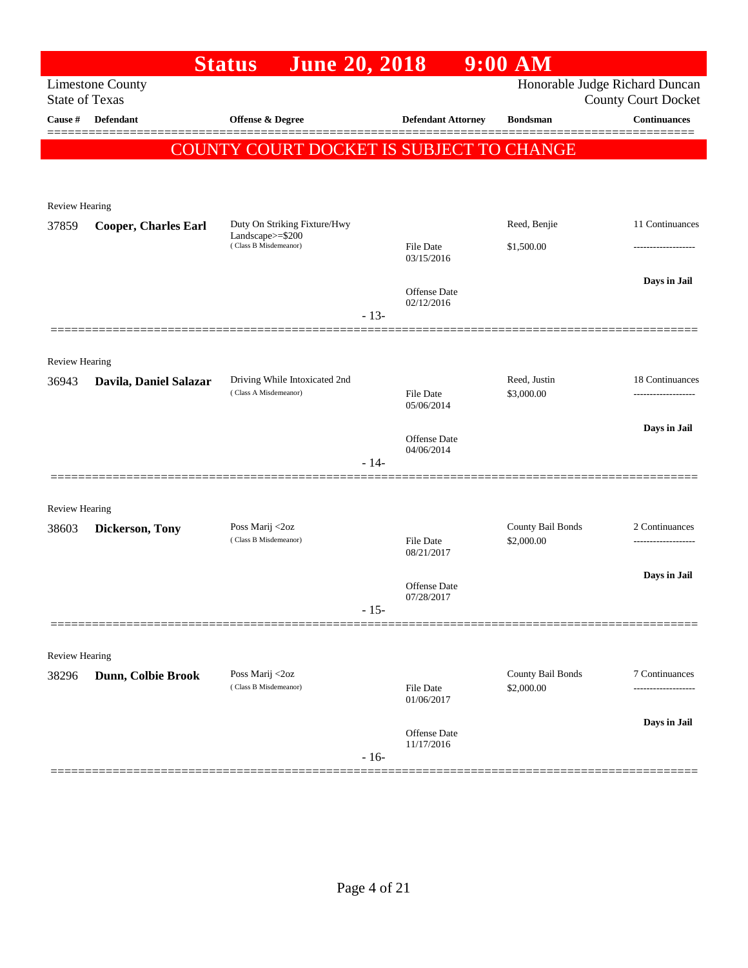|                       |                             | <b>June 20, 2018</b><br><b>Status</b>     |        |                                | $9:00$ AM                       |                                                              |
|-----------------------|-----------------------------|-------------------------------------------|--------|--------------------------------|---------------------------------|--------------------------------------------------------------|
| <b>State of Texas</b> | <b>Limestone County</b>     |                                           |        |                                |                                 | Honorable Judge Richard Duncan<br><b>County Court Docket</b> |
| Cause #               | Defendant                   | Offense & Degree                          |        | <b>Defendant Attorney</b>      | <b>Bondsman</b>                 | Continuances                                                 |
|                       |                             | COUNTY COURT DOCKET IS SUBJECT TO CHANGE  |        |                                |                                 |                                                              |
|                       |                             |                                           |        |                                |                                 |                                                              |
| <b>Review Hearing</b> |                             |                                           |        |                                |                                 |                                                              |
| 37859                 | <b>Cooper, Charles Earl</b> | Duty On Striking Fixture/Hwy              |        |                                | Reed, Benjie                    | 11 Continuances                                              |
|                       |                             | Landscape>=\$200<br>(Class B Misdemeanor) |        | File Date<br>03/15/2016        | \$1,500.00                      | -------------------                                          |
|                       |                             |                                           |        |                                |                                 | Days in Jail                                                 |
|                       |                             |                                           |        | Offense Date<br>02/12/2016     |                                 |                                                              |
|                       |                             |                                           | $-13-$ |                                |                                 |                                                              |
| <b>Review Hearing</b> |                             |                                           |        |                                |                                 |                                                              |
| 36943                 | Davila, Daniel Salazar      | Driving While Intoxicated 2nd             |        |                                | Reed, Justin                    | 18 Continuances                                              |
|                       |                             | (Class A Misdemeanor)                     |        | <b>File Date</b><br>05/06/2014 | \$3,000.00                      |                                                              |
|                       |                             |                                           |        | Offense Date                   |                                 | Days in Jail                                                 |
|                       |                             |                                           | $-14-$ | 04/06/2014                     |                                 |                                                              |
|                       |                             |                                           |        |                                |                                 |                                                              |
| <b>Review Hearing</b> |                             |                                           |        |                                |                                 |                                                              |
| 38603                 | Dickerson, Tony             | Poss Marij <2oz<br>(Class B Misdemeanor)  |        | <b>File Date</b>               | County Bail Bonds<br>\$2,000.00 | 2 Continuances                                               |
|                       |                             |                                           |        | 08/21/2017                     |                                 |                                                              |
|                       |                             |                                           |        | Offense Date                   |                                 | Days in Jail                                                 |
|                       |                             |                                           | $-15-$ | 07/28/2017                     |                                 |                                                              |
|                       |                             |                                           |        |                                |                                 |                                                              |
| Review Hearing        |                             |                                           |        |                                |                                 |                                                              |
| 38296                 | Dunn, Colbie Brook          | Poss Marij <2oz<br>(Class B Misdemeanor)  |        | File Date<br>01/06/2017        | County Bail Bonds<br>\$2,000.00 | 7 Continuances<br>-----------------                          |
|                       |                             |                                           |        |                                |                                 | Days in Jail                                                 |
|                       |                             |                                           | $-16-$ | Offense Date<br>11/17/2016     |                                 |                                                              |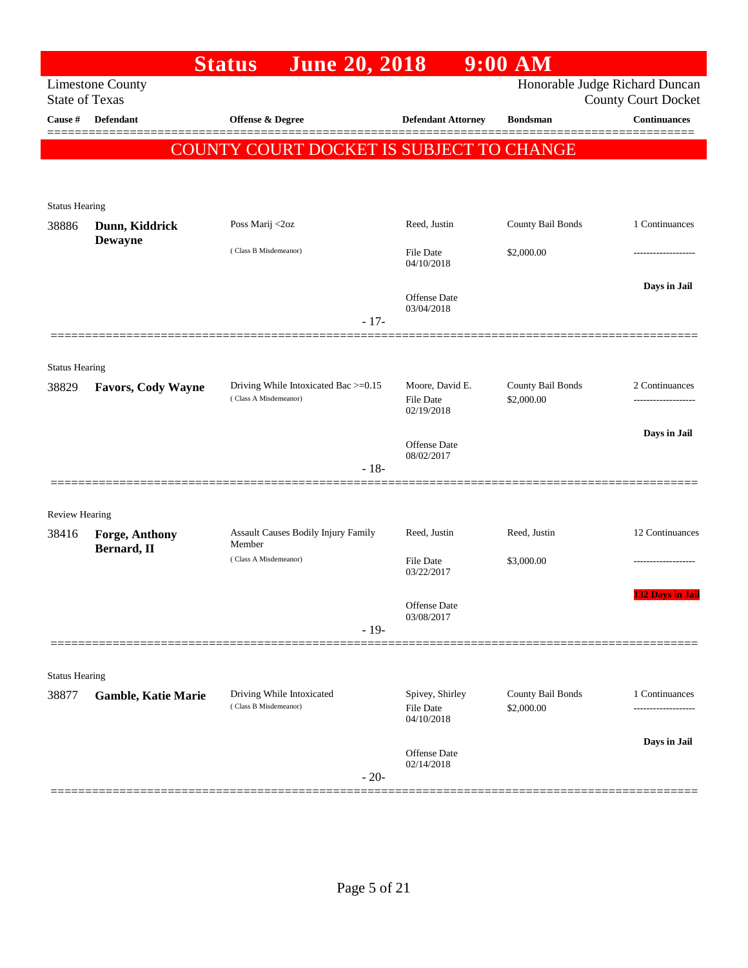| <b>Limestone County</b><br><b>State of Texas</b><br>Defendant | <b>June 20, 2018</b>                                          |                                                                  |                                                                                       | Honorable Judge Richard Duncan                                       |
|---------------------------------------------------------------|---------------------------------------------------------------|------------------------------------------------------------------|---------------------------------------------------------------------------------------|----------------------------------------------------------------------|
|                                                               |                                                               |                                                                  |                                                                                       |                                                                      |
|                                                               | Offense & Degree                                              | <b>Defendant Attorney</b>                                        | <b>Bondsman</b>                                                                       | <b>County Court Docket</b><br><b>Continuances</b>                    |
|                                                               |                                                               |                                                                  |                                                                                       |                                                                      |
|                                                               |                                                               |                                                                  |                                                                                       |                                                                      |
|                                                               |                                                               |                                                                  |                                                                                       |                                                                      |
| <b>Status Hearing</b>                                         |                                                               |                                                                  |                                                                                       |                                                                      |
| Dunn, Kiddrick                                                | Poss Marij <2oz                                               | Reed, Justin                                                     | County Bail Bonds                                                                     | 1 Continuances                                                       |
|                                                               | (Class B Misdemeanor)                                         | <b>File Date</b>                                                 | \$2,000.00                                                                            |                                                                      |
|                                                               |                                                               |                                                                  |                                                                                       | Days in Jail                                                         |
|                                                               |                                                               | Offense Date                                                     |                                                                                       |                                                                      |
|                                                               | $-17-$                                                        |                                                                  |                                                                                       |                                                                      |
|                                                               |                                                               |                                                                  |                                                                                       |                                                                      |
| <b>Status Hearing</b>                                         |                                                               |                                                                  |                                                                                       |                                                                      |
| Favors, Cody Wayne                                            | Driving While Intoxicated Bac >=0.15<br>(Class A Misdemeanor) | Moore, David E.<br><b>File Date</b>                              | County Bail Bonds<br>\$2,000.00                                                       | 2 Continuances                                                       |
|                                                               |                                                               |                                                                  |                                                                                       |                                                                      |
|                                                               |                                                               | <b>Offense Date</b>                                              |                                                                                       | Days in Jail                                                         |
|                                                               | $-18-$                                                        |                                                                  |                                                                                       |                                                                      |
|                                                               |                                                               |                                                                  |                                                                                       |                                                                      |
| Review Hearing                                                |                                                               |                                                                  |                                                                                       |                                                                      |
| Forge, Anthony                                                | Member                                                        | Reed, Justin                                                     | Reed, Justin                                                                          | 12 Continuances                                                      |
|                                                               | (Class A Misdemeanor)                                         | File Date                                                        | \$3,000.00                                                                            |                                                                      |
|                                                               |                                                               |                                                                  |                                                                                       | <b>132 Days in Jail</b>                                              |
|                                                               |                                                               | Offense Date<br>03/08/2017                                       |                                                                                       |                                                                      |
|                                                               | $-19-$                                                        |                                                                  |                                                                                       |                                                                      |
|                                                               |                                                               |                                                                  |                                                                                       |                                                                      |
| <b>Status Hearing</b>                                         |                                                               |                                                                  |                                                                                       |                                                                      |
|                                                               | (Class B Misdemeanor)                                         | <b>File Date</b><br>04/10/2018                                   | \$2,000.00                                                                            | 1 Continuances<br>                                                   |
|                                                               |                                                               |                                                                  |                                                                                       | Days in Jail                                                         |
|                                                               | $-20-$                                                        | <b>Offense</b> Date<br>02/14/2018                                |                                                                                       |                                                                      |
|                                                               | <b>Dewayne</b><br>Bernard, II<br><b>Gamble, Katie Marie</b>   | Assault Causes Bodily Injury Family<br>Driving While Intoxicated | 04/10/2018<br>03/04/2018<br>02/19/2018<br>08/02/2017<br>03/22/2017<br>Spivey, Shirley | <b>COUNTY COURT DOCKET IS SUBJECT TO CHANGE</b><br>County Bail Bonds |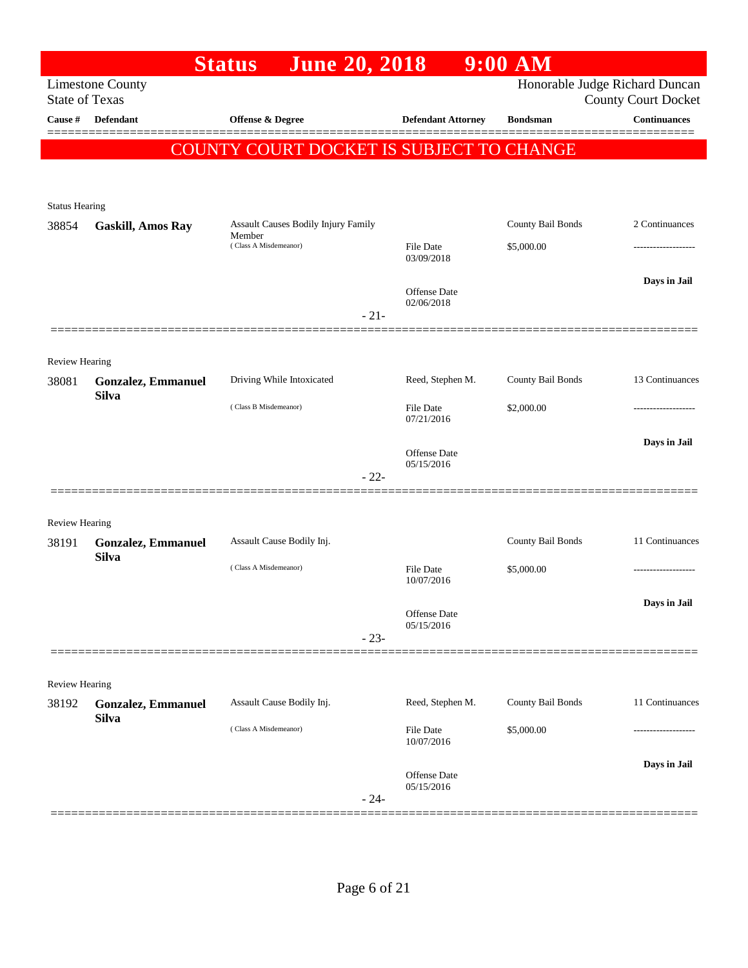|                                  |                                    | <b>June 20, 2018</b><br><b>Status</b>           |                                   | $9:00$ AM         |                                            |
|----------------------------------|------------------------------------|-------------------------------------------------|-----------------------------------|-------------------|--------------------------------------------|
|                                  | <b>Limestone County</b>            |                                                 |                                   |                   | Honorable Judge Richard Duncan             |
| <b>State of Texas</b><br>Cause # | <b>Defendant</b>                   | <b>Offense &amp; Degree</b>                     | <b>Defendant Attorney</b>         | <b>Bondsman</b>   | <b>County Court Docket</b><br>Continuances |
|                                  |                                    |                                                 |                                   |                   |                                            |
|                                  |                                    | <b>COUNTY COURT DOCKET IS SUBJECT TO CHANGE</b> |                                   |                   |                                            |
|                                  |                                    |                                                 |                                   |                   |                                            |
|                                  |                                    |                                                 |                                   |                   |                                            |
| <b>Status Hearing</b><br>38854   | <b>Gaskill, Amos Ray</b>           | Assault Causes Bodily Injury Family             |                                   | County Bail Bonds | 2 Continuances                             |
|                                  |                                    | Member<br>(Class A Misdemeanor)                 | <b>File Date</b>                  | \$5,000.00        |                                            |
|                                  |                                    |                                                 | 03/09/2018                        |                   |                                            |
|                                  |                                    |                                                 |                                   |                   | Days in Jail                               |
|                                  |                                    |                                                 | <b>Offense Date</b><br>02/06/2018 |                   |                                            |
|                                  |                                    | $-21-$                                          |                                   |                   |                                            |
|                                  |                                    |                                                 |                                   |                   |                                            |
| Review Hearing                   |                                    |                                                 |                                   |                   |                                            |
| 38081                            | Gonzalez, Emmanuel<br><b>Silva</b> | Driving While Intoxicated                       | Reed, Stephen M.                  | County Bail Bonds | 13 Continuances                            |
|                                  |                                    | (Class B Misdemeanor)                           | <b>File Date</b>                  | \$2,000.00        |                                            |
|                                  |                                    |                                                 | 07/21/2016                        |                   |                                            |
|                                  |                                    |                                                 | <b>Offense</b> Date               |                   | Days in Jail                               |
|                                  |                                    | $-22-$                                          | 05/15/2016                        |                   |                                            |
|                                  |                                    |                                                 |                                   |                   |                                            |
| Review Hearing                   |                                    |                                                 |                                   |                   |                                            |
| 38191                            | <b>Gonzalez, Emmanuel</b>          | Assault Cause Bodily Inj.                       |                                   | County Bail Bonds | 11 Continuances                            |
|                                  | <b>Silva</b>                       |                                                 |                                   |                   |                                            |
|                                  |                                    | (Class A Misdemeanor)                           | <b>File Date</b><br>10/07/2016    | \$5,000.00        |                                            |
|                                  |                                    |                                                 |                                   |                   | Days in Jail                               |
|                                  |                                    |                                                 | Offense Date<br>05/15/2016        |                   |                                            |
|                                  |                                    | $-23-$                                          |                                   |                   |                                            |
|                                  |                                    |                                                 |                                   |                   |                                            |
| Review Hearing                   |                                    |                                                 |                                   |                   |                                            |
| 38192                            | <b>Gonzalez, Emmanuel</b>          | Assault Cause Bodily Inj.                       | Reed, Stephen M.                  | County Bail Bonds | 11 Continuances                            |
|                                  | <b>Silva</b>                       | (Class A Misdemeanor)                           | <b>File Date</b>                  | \$5,000.00        |                                            |
|                                  |                                    |                                                 | 10/07/2016                        |                   |                                            |
|                                  |                                    |                                                 | Offense Date                      |                   | Days in Jail                               |
|                                  |                                    | $-24-$                                          | 05/15/2016                        |                   |                                            |
|                                  |                                    |                                                 |                                   |                   |                                            |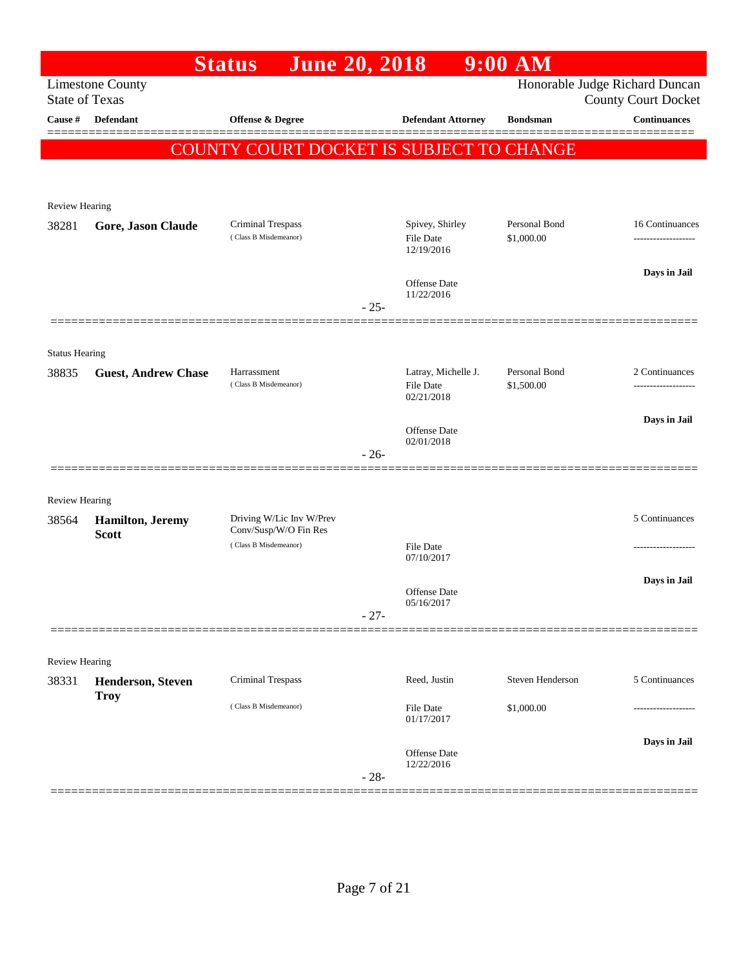|                       |                                          | <b>June 20, 2018</b><br><b>Status</b>             |        |                                                   | $9:00$ AM                   |                                                              |
|-----------------------|------------------------------------------|---------------------------------------------------|--------|---------------------------------------------------|-----------------------------|--------------------------------------------------------------|
| <b>State of Texas</b> | <b>Limestone County</b>                  |                                                   |        |                                                   |                             | Honorable Judge Richard Duncan<br><b>County Court Docket</b> |
| <b>Cause</b> #        | Defendant                                | Offense & Degree                                  |        | <b>Defendant Attorney</b>                         | <b>Bondsman</b>             | Continuances                                                 |
|                       |                                          | <b>COUNTY COURT DOCKET IS SUBJECT TO CHANGE</b>   |        |                                                   |                             |                                                              |
|                       |                                          |                                                   |        |                                                   |                             |                                                              |
|                       |                                          |                                                   |        |                                                   |                             |                                                              |
| Review Hearing        |                                          |                                                   |        |                                                   |                             |                                                              |
| 38281                 | Gore, Jason Claude                       | Criminal Trespass<br>(Class B Misdemeanor)        |        | Spivey, Shirley<br><b>File Date</b><br>12/19/2016 | Personal Bond<br>\$1,000.00 | 16 Continuances<br>------------------                        |
|                       |                                          |                                                   |        | <b>Offense Date</b><br>11/22/2016                 |                             | Days in Jail                                                 |
|                       |                                          |                                                   | $-25-$ |                                                   |                             |                                                              |
| <b>Status Hearing</b> |                                          |                                                   |        |                                                   |                             |                                                              |
| 38835                 | <b>Guest, Andrew Chase</b>               | Harrassment<br>(Class B Misdemeanor)              |        | Latray, Michelle J.<br><b>File Date</b>           | Personal Bond<br>\$1,500.00 | 2 Continuances                                               |
|                       |                                          |                                                   |        | 02/21/2018                                        |                             |                                                              |
|                       |                                          |                                                   |        | <b>Offense Date</b><br>02/01/2018                 |                             | Days in Jail                                                 |
|                       |                                          |                                                   | $-26-$ |                                                   |                             |                                                              |
| Review Hearing        |                                          |                                                   |        |                                                   |                             |                                                              |
| 38564                 | <b>Hamilton</b> , Jeremy<br><b>Scott</b> | Driving W/Lic Inv W/Prev<br>Conv/Susp/W/O Fin Res |        |                                                   |                             | 5 Continuances                                               |
|                       |                                          | (Class B Misdemeanor)                             |        | <b>File Date</b><br>07/10/2017                    |                             |                                                              |
|                       |                                          |                                                   |        |                                                   |                             | Days in Jail                                                 |
|                       |                                          |                                                   |        | Offense Date<br>05/16/2017                        |                             |                                                              |
|                       |                                          |                                                   | $-27-$ |                                                   |                             |                                                              |
|                       |                                          |                                                   |        |                                                   |                             |                                                              |
| Review Hearing        |                                          |                                                   |        |                                                   |                             |                                                              |
| 38331                 | <b>Henderson, Steven</b><br><b>Troy</b>  | <b>Criminal Trespass</b>                          |        | Reed, Justin                                      | Steven Henderson            | 5 Continuances                                               |
|                       |                                          | (Class B Misdemeanor)                             |        | File Date<br>01/17/2017                           | \$1,000.00                  |                                                              |
|                       |                                          |                                                   |        | <b>Offense Date</b>                               |                             | Days in Jail                                                 |
|                       |                                          |                                                   | $-28-$ | 12/22/2016                                        |                             |                                                              |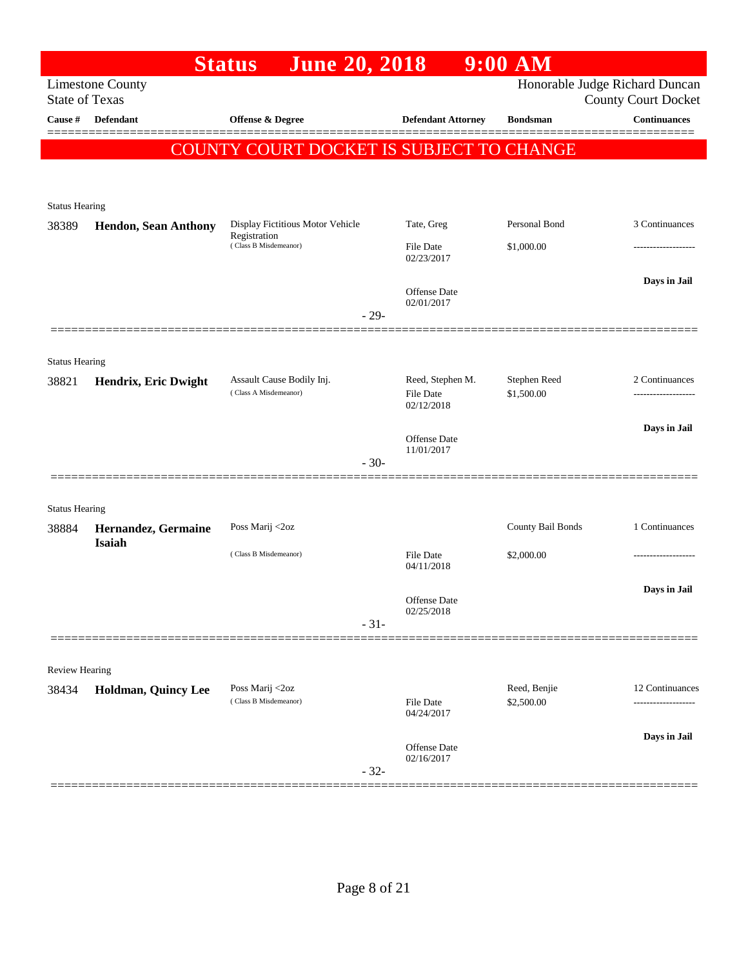|                                |                                                                      | <b>June 20, 2018</b><br><b>Status</b>              |                                                    | $9:00$ AM                                         |                                            |
|--------------------------------|----------------------------------------------------------------------|----------------------------------------------------|----------------------------------------------------|---------------------------------------------------|--------------------------------------------|
| Cause $\#$                     | <b>Limestone County</b><br><b>State of Texas</b><br><b>Defendant</b> | Offense & Degree                                   | <b>Defendant Attorney</b>                          | Honorable Judge Richard Duncan<br><b>Bondsman</b> | <b>County Court Docket</b><br>Continuances |
|                                |                                                                      | COUNTY COURT DOCKET IS SUBJECT TO CHANGE           |                                                    |                                                   |                                            |
|                                |                                                                      |                                                    |                                                    |                                                   |                                            |
| <b>Status Hearing</b><br>38389 | <b>Hendon, Sean Anthony</b>                                          | Display Fictitious Motor Vehicle<br>Registration   | Tate, Greg                                         | Personal Bond                                     | 3 Continuances                             |
|                                |                                                                      | (Class B Misdemeanor)                              | File Date<br>02/23/2017                            | \$1,000.00                                        |                                            |
|                                |                                                                      |                                                    | Offense Date<br>02/01/2017<br>$-29-$               |                                                   | Days in Jail                               |
| <b>Status Hearing</b>          |                                                                      |                                                    |                                                    |                                                   |                                            |
| 38821                          | Hendrix, Eric Dwight                                                 | Assault Cause Bodily Inj.<br>(Class A Misdemeanor) | Reed, Stephen M.<br><b>File Date</b><br>02/12/2018 | Stephen Reed<br>\$1,500.00                        | 2 Continuances                             |
|                                |                                                                      |                                                    | Offense Date<br>11/01/2017                         |                                                   | Days in Jail                               |
|                                |                                                                      |                                                    | $-30-$                                             |                                                   |                                            |
| <b>Status Hearing</b>          |                                                                      |                                                    |                                                    |                                                   |                                            |
| 38884                          | Hernandez, Germaine<br><b>Isaiah</b>                                 | Poss Marij <2oz                                    |                                                    | County Bail Bonds                                 | 1 Continuances                             |
|                                |                                                                      | (Class B Misdemeanor)                              | <b>File Date</b><br>04/11/2018                     | \$2,000.00                                        |                                            |
|                                |                                                                      |                                                    | Offense Date<br>02/25/2018                         |                                                   | Days in Jail                               |
|                                |                                                                      |                                                    | $-31-$                                             |                                                   |                                            |
| Review Hearing                 |                                                                      |                                                    |                                                    |                                                   |                                            |
| 38434                          | Holdman, Quincy Lee                                                  | Poss Marij <2oz<br>(Class B Misdemeanor)           | File Date<br>04/24/2017                            | Reed, Benjie<br>\$2,500.00                        | 12 Continuances                            |
|                                |                                                                      |                                                    | Offense Date<br>02/16/2017<br>$-32-$               |                                                   | Days in Jail                               |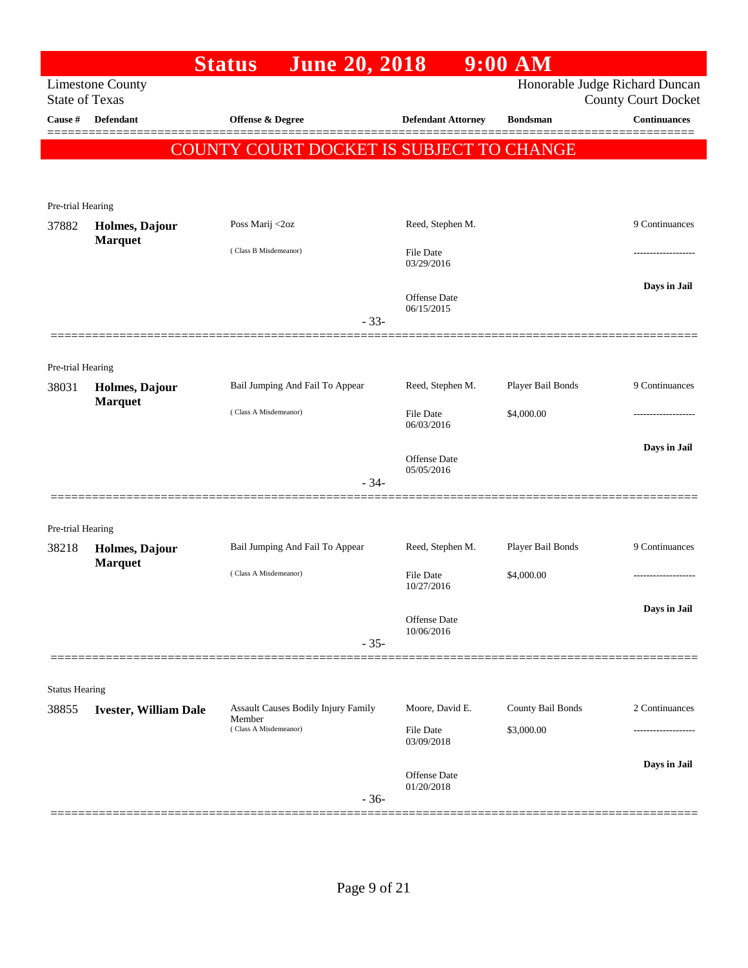|                       |                                  | <b>June 20, 2018</b><br><b>Status</b>         |                                | $9:00$ AM         |                                                              |
|-----------------------|----------------------------------|-----------------------------------------------|--------------------------------|-------------------|--------------------------------------------------------------|
| <b>State of Texas</b> | <b>Limestone County</b>          |                                               |                                |                   | Honorable Judge Richard Duncan<br><b>County Court Docket</b> |
| Cause #               | Defendant                        | Offense & Degree                              | <b>Defendant Attorney</b>      | <b>Bondsman</b>   | <b>Continuances</b>                                          |
|                       |                                  | COUNTY COURT DOCKET IS SUBJECT TO CHANGE      |                                |                   |                                                              |
|                       |                                  |                                               |                                |                   |                                                              |
| Pre-trial Hearing     |                                  |                                               |                                |                   |                                                              |
| 37882                 | Holmes, Dajour<br><b>Marquet</b> | Poss Marij <2oz                               | Reed, Stephen M.               |                   | 9 Continuances                                               |
|                       |                                  | (Class B Misdemeanor)                         | <b>File Date</b><br>03/29/2016 |                   |                                                              |
|                       |                                  |                                               | Offense Date<br>06/15/2015     |                   | Days in Jail                                                 |
|                       |                                  |                                               | $-33-$                         |                   |                                                              |
| Pre-trial Hearing     |                                  |                                               |                                |                   |                                                              |
| 38031                 | Holmes, Dajour<br><b>Marquet</b> | Bail Jumping And Fail To Appear               | Reed, Stephen M.               | Player Bail Bonds | 9 Continuances                                               |
|                       |                                  | (Class A Misdemeanor)                         | <b>File Date</b><br>06/03/2016 | \$4,000.00        | --------------                                               |
|                       |                                  |                                               | Offense Date<br>05/05/2016     |                   | Days in Jail                                                 |
|                       |                                  |                                               | $-34-$                         |                   |                                                              |
| Pre-trial Hearing     |                                  |                                               |                                |                   |                                                              |
| 38218                 | Holmes, Dajour<br><b>Marquet</b> | Bail Jumping And Fail To Appear               | Reed, Stephen M.               | Player Bail Bonds | 9 Continuances                                               |
|                       |                                  | (Class A Misdemeanor)                         | <b>File Date</b><br>10/27/2016 | \$4,000.00        | -------------------                                          |
|                       |                                  |                                               | Offense Date                   |                   | Days in Jail                                                 |
|                       |                                  |                                               | 10/06/2016<br>$-35-$           |                   |                                                              |
|                       |                                  |                                               |                                |                   |                                                              |
| <b>Status Hearing</b> |                                  |                                               |                                |                   |                                                              |
| 38855                 | <b>Ivester, William Dale</b>     | Assault Causes Bodily Injury Family<br>Member | Moore, David E.                | County Bail Bonds | 2 Continuances                                               |
|                       |                                  | (Class A Misdemeanor)                         | File Date<br>03/09/2018        | \$3,000.00        |                                                              |
|                       |                                  |                                               | Offense Date<br>01/20/2018     |                   | Days in Jail                                                 |
|                       |                                  |                                               | $-36-$                         |                   |                                                              |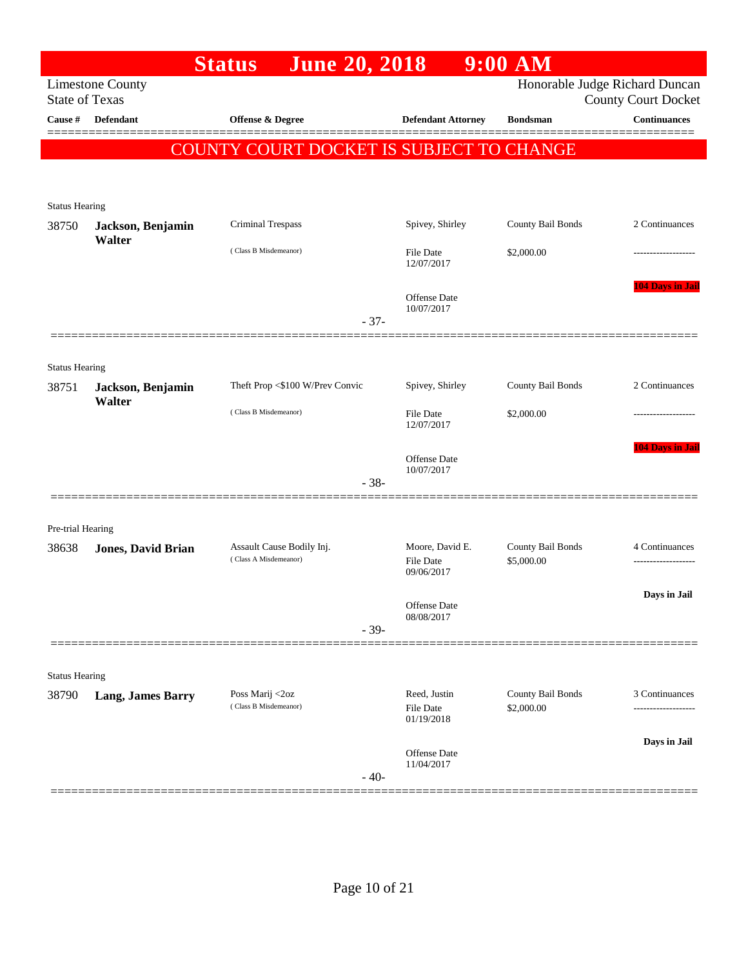| Honorable Judge Richard Duncan<br><b>Limestone County</b><br><b>State of Texas</b><br><b>County Court Docket</b><br>Offense & Degree<br><b>Continuances</b><br>Cause #<br>Defendant<br><b>Defendant Attorney</b><br><b>Bondsman</b><br>COUNTY COURT DOCKET IS SUBJECT TO CHANGE<br><b>Status Hearing</b><br>Spivey, Shirley<br>County Bail Bonds<br>2 Continuances<br>Criminal Trespass<br>38750<br>Jackson, Benjamin<br>Walter<br>(Class B Misdemeanor)<br>File Date<br>\$2,000.00<br>12/07/2017<br><b>104 Days in Jai</b><br>Offense Date<br>10/07/2017<br>$-37-$<br><b>Status Hearing</b><br>Theft Prop <\$100 W/Prev Convic<br>Spivey, Shirley<br>County Bail Bonds<br>2 Continuances<br>Jackson, Benjamin<br>Walter<br>(Class B Misdemeanor)<br>File Date<br>\$2,000.00<br>12/07/2017<br><b>104 Days in Jai</b><br>Offense Date<br>10/07/2017<br>$-38-$<br>Pre-trial Hearing<br>Moore, David E.<br>County Bail Bonds<br>Assault Cause Bodily Inj.<br>4 Continuances<br>38638<br><b>Jones, David Brian</b><br>(Class A Misdemeanor)<br><b>File Date</b><br>\$5,000.00<br>09/06/2017<br>Days in Jail<br>Offense Date<br>08/08/2017<br>$-39-$<br><b>Status Hearing</b><br>Poss Marij <2oz<br>Reed, Justin<br>County Bail Bonds<br>3 Continuances<br><b>Lang, James Barry</b><br>(Class B Misdemeanor)<br>File Date<br>\$2,000.00<br>01/19/2018<br>Days in Jail<br><b>Offense</b> Date<br>11/04/2017<br>$-40-$ |       | <b>June 20, 2018</b><br><b>Status</b> | $9:00$ AM |  |
|-----------------------------------------------------------------------------------------------------------------------------------------------------------------------------------------------------------------------------------------------------------------------------------------------------------------------------------------------------------------------------------------------------------------------------------------------------------------------------------------------------------------------------------------------------------------------------------------------------------------------------------------------------------------------------------------------------------------------------------------------------------------------------------------------------------------------------------------------------------------------------------------------------------------------------------------------------------------------------------------------------------------------------------------------------------------------------------------------------------------------------------------------------------------------------------------------------------------------------------------------------------------------------------------------------------------------------------------------------------------------------------------------------------------|-------|---------------------------------------|-----------|--|
|                                                                                                                                                                                                                                                                                                                                                                                                                                                                                                                                                                                                                                                                                                                                                                                                                                                                                                                                                                                                                                                                                                                                                                                                                                                                                                                                                                                                                 |       |                                       |           |  |
|                                                                                                                                                                                                                                                                                                                                                                                                                                                                                                                                                                                                                                                                                                                                                                                                                                                                                                                                                                                                                                                                                                                                                                                                                                                                                                                                                                                                                 |       |                                       |           |  |
|                                                                                                                                                                                                                                                                                                                                                                                                                                                                                                                                                                                                                                                                                                                                                                                                                                                                                                                                                                                                                                                                                                                                                                                                                                                                                                                                                                                                                 |       |                                       |           |  |
|                                                                                                                                                                                                                                                                                                                                                                                                                                                                                                                                                                                                                                                                                                                                                                                                                                                                                                                                                                                                                                                                                                                                                                                                                                                                                                                                                                                                                 |       |                                       |           |  |
|                                                                                                                                                                                                                                                                                                                                                                                                                                                                                                                                                                                                                                                                                                                                                                                                                                                                                                                                                                                                                                                                                                                                                                                                                                                                                                                                                                                                                 |       |                                       |           |  |
|                                                                                                                                                                                                                                                                                                                                                                                                                                                                                                                                                                                                                                                                                                                                                                                                                                                                                                                                                                                                                                                                                                                                                                                                                                                                                                                                                                                                                 |       |                                       |           |  |
|                                                                                                                                                                                                                                                                                                                                                                                                                                                                                                                                                                                                                                                                                                                                                                                                                                                                                                                                                                                                                                                                                                                                                                                                                                                                                                                                                                                                                 |       |                                       |           |  |
|                                                                                                                                                                                                                                                                                                                                                                                                                                                                                                                                                                                                                                                                                                                                                                                                                                                                                                                                                                                                                                                                                                                                                                                                                                                                                                                                                                                                                 |       |                                       |           |  |
|                                                                                                                                                                                                                                                                                                                                                                                                                                                                                                                                                                                                                                                                                                                                                                                                                                                                                                                                                                                                                                                                                                                                                                                                                                                                                                                                                                                                                 |       |                                       |           |  |
|                                                                                                                                                                                                                                                                                                                                                                                                                                                                                                                                                                                                                                                                                                                                                                                                                                                                                                                                                                                                                                                                                                                                                                                                                                                                                                                                                                                                                 |       |                                       |           |  |
|                                                                                                                                                                                                                                                                                                                                                                                                                                                                                                                                                                                                                                                                                                                                                                                                                                                                                                                                                                                                                                                                                                                                                                                                                                                                                                                                                                                                                 |       |                                       |           |  |
|                                                                                                                                                                                                                                                                                                                                                                                                                                                                                                                                                                                                                                                                                                                                                                                                                                                                                                                                                                                                                                                                                                                                                                                                                                                                                                                                                                                                                 |       |                                       |           |  |
|                                                                                                                                                                                                                                                                                                                                                                                                                                                                                                                                                                                                                                                                                                                                                                                                                                                                                                                                                                                                                                                                                                                                                                                                                                                                                                                                                                                                                 |       |                                       |           |  |
|                                                                                                                                                                                                                                                                                                                                                                                                                                                                                                                                                                                                                                                                                                                                                                                                                                                                                                                                                                                                                                                                                                                                                                                                                                                                                                                                                                                                                 |       |                                       |           |  |
|                                                                                                                                                                                                                                                                                                                                                                                                                                                                                                                                                                                                                                                                                                                                                                                                                                                                                                                                                                                                                                                                                                                                                                                                                                                                                                                                                                                                                 | 38751 |                                       |           |  |
|                                                                                                                                                                                                                                                                                                                                                                                                                                                                                                                                                                                                                                                                                                                                                                                                                                                                                                                                                                                                                                                                                                                                                                                                                                                                                                                                                                                                                 |       |                                       |           |  |
|                                                                                                                                                                                                                                                                                                                                                                                                                                                                                                                                                                                                                                                                                                                                                                                                                                                                                                                                                                                                                                                                                                                                                                                                                                                                                                                                                                                                                 |       |                                       |           |  |
|                                                                                                                                                                                                                                                                                                                                                                                                                                                                                                                                                                                                                                                                                                                                                                                                                                                                                                                                                                                                                                                                                                                                                                                                                                                                                                                                                                                                                 |       |                                       |           |  |
|                                                                                                                                                                                                                                                                                                                                                                                                                                                                                                                                                                                                                                                                                                                                                                                                                                                                                                                                                                                                                                                                                                                                                                                                                                                                                                                                                                                                                 |       |                                       |           |  |
|                                                                                                                                                                                                                                                                                                                                                                                                                                                                                                                                                                                                                                                                                                                                                                                                                                                                                                                                                                                                                                                                                                                                                                                                                                                                                                                                                                                                                 |       |                                       |           |  |
|                                                                                                                                                                                                                                                                                                                                                                                                                                                                                                                                                                                                                                                                                                                                                                                                                                                                                                                                                                                                                                                                                                                                                                                                                                                                                                                                                                                                                 |       |                                       |           |  |
|                                                                                                                                                                                                                                                                                                                                                                                                                                                                                                                                                                                                                                                                                                                                                                                                                                                                                                                                                                                                                                                                                                                                                                                                                                                                                                                                                                                                                 |       |                                       |           |  |
|                                                                                                                                                                                                                                                                                                                                                                                                                                                                                                                                                                                                                                                                                                                                                                                                                                                                                                                                                                                                                                                                                                                                                                                                                                                                                                                                                                                                                 |       |                                       |           |  |
|                                                                                                                                                                                                                                                                                                                                                                                                                                                                                                                                                                                                                                                                                                                                                                                                                                                                                                                                                                                                                                                                                                                                                                                                                                                                                                                                                                                                                 |       |                                       |           |  |
|                                                                                                                                                                                                                                                                                                                                                                                                                                                                                                                                                                                                                                                                                                                                                                                                                                                                                                                                                                                                                                                                                                                                                                                                                                                                                                                                                                                                                 |       |                                       |           |  |
|                                                                                                                                                                                                                                                                                                                                                                                                                                                                                                                                                                                                                                                                                                                                                                                                                                                                                                                                                                                                                                                                                                                                                                                                                                                                                                                                                                                                                 |       |                                       |           |  |
|                                                                                                                                                                                                                                                                                                                                                                                                                                                                                                                                                                                                                                                                                                                                                                                                                                                                                                                                                                                                                                                                                                                                                                                                                                                                                                                                                                                                                 |       |                                       |           |  |
|                                                                                                                                                                                                                                                                                                                                                                                                                                                                                                                                                                                                                                                                                                                                                                                                                                                                                                                                                                                                                                                                                                                                                                                                                                                                                                                                                                                                                 |       |                                       |           |  |
|                                                                                                                                                                                                                                                                                                                                                                                                                                                                                                                                                                                                                                                                                                                                                                                                                                                                                                                                                                                                                                                                                                                                                                                                                                                                                                                                                                                                                 | 38790 |                                       |           |  |
|                                                                                                                                                                                                                                                                                                                                                                                                                                                                                                                                                                                                                                                                                                                                                                                                                                                                                                                                                                                                                                                                                                                                                                                                                                                                                                                                                                                                                 |       |                                       |           |  |
|                                                                                                                                                                                                                                                                                                                                                                                                                                                                                                                                                                                                                                                                                                                                                                                                                                                                                                                                                                                                                                                                                                                                                                                                                                                                                                                                                                                                                 |       |                                       |           |  |
|                                                                                                                                                                                                                                                                                                                                                                                                                                                                                                                                                                                                                                                                                                                                                                                                                                                                                                                                                                                                                                                                                                                                                                                                                                                                                                                                                                                                                 |       |                                       |           |  |
|                                                                                                                                                                                                                                                                                                                                                                                                                                                                                                                                                                                                                                                                                                                                                                                                                                                                                                                                                                                                                                                                                                                                                                                                                                                                                                                                                                                                                 |       |                                       |           |  |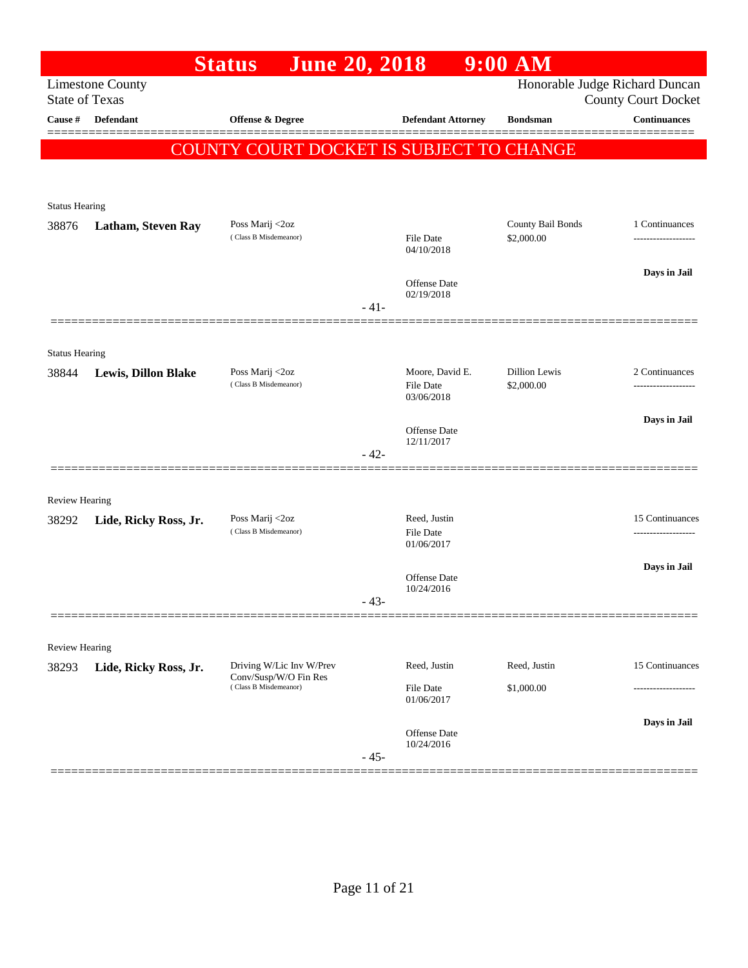|                         |                            | <b>June 20, 2018</b><br><b>Status</b>             |        |                                   | $9:00$ AM                   |                                                   |
|-------------------------|----------------------------|---------------------------------------------------|--------|-----------------------------------|-----------------------------|---------------------------------------------------|
| <b>State of Texas</b>   | <b>Limestone County</b>    |                                                   |        |                                   |                             | Honorable Judge Richard Duncan                    |
| Cause #                 | Defendant                  | <b>Offense &amp; Degree</b>                       |        | <b>Defendant Attorney</b>         | <b>Bondsman</b>             | <b>County Court Docket</b><br><b>Continuances</b> |
|                         |                            |                                                   |        |                                   |                             |                                                   |
|                         |                            | COUNTY COURT DOCKET IS SUBJECT TO CHANGE          |        |                                   |                             |                                                   |
|                         |                            |                                                   |        |                                   |                             |                                                   |
| <b>Status Hearing</b>   |                            |                                                   |        |                                   |                             |                                                   |
| 38876                   | <b>Latham, Steven Ray</b>  | Poss Marij <2oz                                   |        |                                   | County Bail Bonds           | 1 Continuances                                    |
|                         |                            | (Class B Misdemeanor)                             |        | <b>File Date</b><br>04/10/2018    | \$2,000.00                  |                                                   |
|                         |                            |                                                   |        |                                   |                             | Days in Jail                                      |
|                         |                            |                                                   |        | Offense Date<br>02/19/2018        |                             |                                                   |
|                         |                            |                                                   | $-41-$ |                                   |                             |                                                   |
|                         |                            |                                                   |        |                                   |                             |                                                   |
| <b>Status Hearing</b>   |                            |                                                   |        |                                   |                             |                                                   |
| 38844                   | <b>Lewis, Dillon Blake</b> | Poss Marij <2oz<br>(Class B Misdemeanor)          |        | Moore, David E.<br>File Date      | Dillion Lewis<br>\$2,000.00 | 2 Continuances                                    |
|                         |                            |                                                   |        | 03/06/2018                        |                             |                                                   |
|                         |                            |                                                   |        | <b>Offense Date</b>               |                             | Days in Jail                                      |
|                         |                            |                                                   | $-42-$ | 12/11/2017                        |                             |                                                   |
|                         |                            |                                                   |        |                                   |                             |                                                   |
|                         |                            |                                                   |        |                                   |                             |                                                   |
| Review Hearing<br>38292 | Lide, Ricky Ross, Jr.      | Poss Marij <2oz                                   |        | Reed, Justin                      |                             | 15 Continuances                                   |
|                         |                            | (Class B Misdemeanor)                             |        | File Date<br>01/06/2017           |                             |                                                   |
|                         |                            |                                                   |        |                                   |                             | Days in Jail                                      |
|                         |                            |                                                   |        | <b>Offense Date</b><br>10/24/2016 |                             |                                                   |
|                         |                            |                                                   | 43-    |                                   |                             |                                                   |
|                         |                            |                                                   |        |                                   |                             |                                                   |
| Review Hearing          |                            |                                                   |        |                                   |                             |                                                   |
| 38293                   | Lide, Ricky Ross, Jr.      | Driving W/Lic Inv W/Prev<br>Conv/Susp/W/O Fin Res |        | Reed, Justin                      | Reed, Justin                | 15 Continuances                                   |
|                         |                            | (Class B Misdemeanor)                             |        | File Date<br>01/06/2017           | \$1,000.00                  |                                                   |
|                         |                            |                                                   |        |                                   |                             | Days in Jail                                      |
|                         |                            |                                                   |        | Offense Date<br>10/24/2016        |                             |                                                   |
|                         |                            |                                                   | $-45-$ |                                   |                             |                                                   |
|                         |                            |                                                   |        |                                   |                             |                                                   |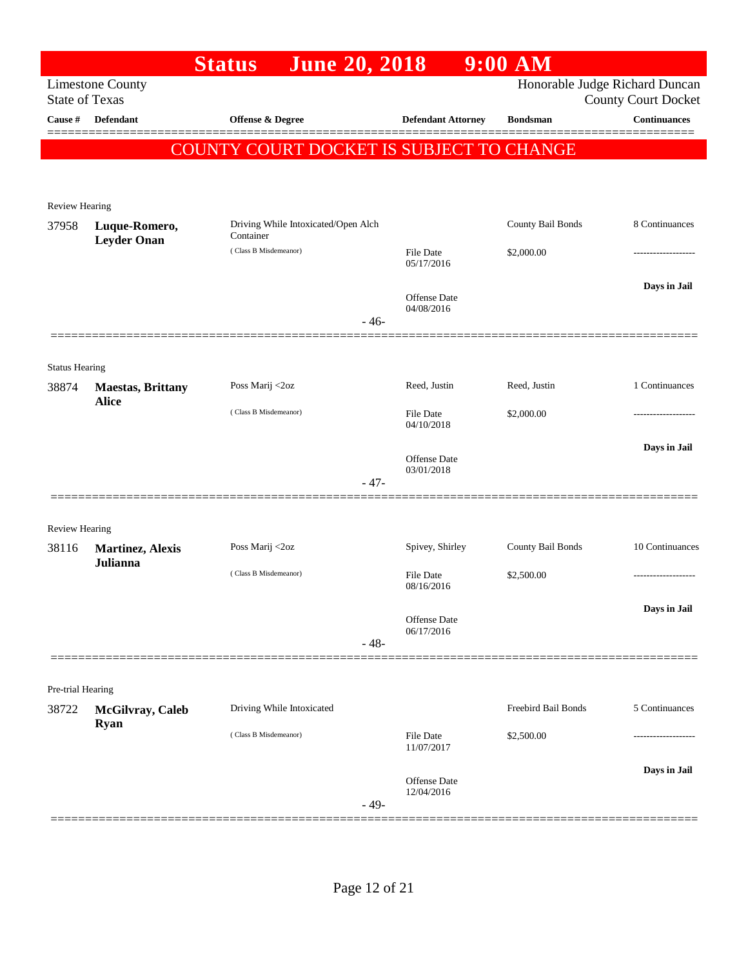|                       |                                          | <b>June 20, 2018</b><br><b>Status</b>            |        |                                | $9:00$ AM           |                                                              |
|-----------------------|------------------------------------------|--------------------------------------------------|--------|--------------------------------|---------------------|--------------------------------------------------------------|
| <b>State of Texas</b> | <b>Limestone County</b>                  |                                                  |        |                                |                     | Honorable Judge Richard Duncan<br><b>County Court Docket</b> |
| <b>Cause</b> #        | Defendant                                | Offense & Degree                                 |        | <b>Defendant Attorney</b>      | <b>Bondsman</b>     | <b>Continuances</b>                                          |
|                       |                                          | <b>COUNTY COURT DOCKET IS SUBJECT TO CHANGE</b>  |        |                                |                     |                                                              |
|                       |                                          |                                                  |        |                                |                     |                                                              |
| Review Hearing        |                                          |                                                  |        |                                |                     |                                                              |
| 37958                 | Luque-Romero,<br><b>Leyder Onan</b>      | Driving While Intoxicated/Open Alch<br>Container |        |                                | County Bail Bonds   | 8 Continuances                                               |
|                       |                                          | (Class B Misdemeanor)                            |        | <b>File Date</b><br>05/17/2016 | \$2,000.00          |                                                              |
|                       |                                          |                                                  |        | Offense Date                   |                     | Days in Jail                                                 |
|                       |                                          |                                                  | $-46-$ | 04/08/2016                     |                     |                                                              |
|                       |                                          |                                                  |        |                                |                     |                                                              |
| <b>Status Hearing</b> |                                          |                                                  |        |                                |                     |                                                              |
| 38874                 | <b>Maestas, Brittany</b><br><b>Alice</b> | Poss Marij <2oz                                  |        | Reed, Justin                   | Reed, Justin        | 1 Continuances                                               |
|                       |                                          | (Class B Misdemeanor)                            |        | <b>File Date</b><br>04/10/2018 | \$2,000.00          |                                                              |
|                       |                                          |                                                  |        | Offense Date                   |                     | Days in Jail                                                 |
|                       |                                          |                                                  | $-47-$ | 03/01/2018                     |                     |                                                              |
|                       | ================                         |                                                  |        |                                |                     |                                                              |
| <b>Review Hearing</b> |                                          |                                                  |        |                                |                     |                                                              |
| 38116                 | <b>Martinez, Alexis</b><br>Julianna      | Poss Marij <2oz                                  |        | Spivey, Shirley                | County Bail Bonds   | 10 Continuances                                              |
|                       |                                          | (Class B Misdemeanor)                            |        | <b>File Date</b><br>08/16/2016 | \$2,500.00          | .                                                            |
|                       |                                          |                                                  |        |                                |                     | Days in Jail                                                 |
|                       |                                          |                                                  |        | Offense Date<br>06/17/2016     |                     |                                                              |
|                       |                                          |                                                  | $-48-$ |                                |                     |                                                              |
| Pre-trial Hearing     |                                          |                                                  |        |                                |                     |                                                              |
| 38722                 | McGilvray, Caleb                         | Driving While Intoxicated                        |        |                                | Freebird Bail Bonds | 5 Continuances                                               |
|                       | <b>Ryan</b>                              | (Class B Misdemeanor)                            |        | <b>File Date</b><br>11/07/2017 | \$2,500.00          |                                                              |
|                       |                                          |                                                  |        |                                |                     | Days in Jail                                                 |
|                       |                                          |                                                  | $-49-$ | Offense Date<br>12/04/2016     |                     |                                                              |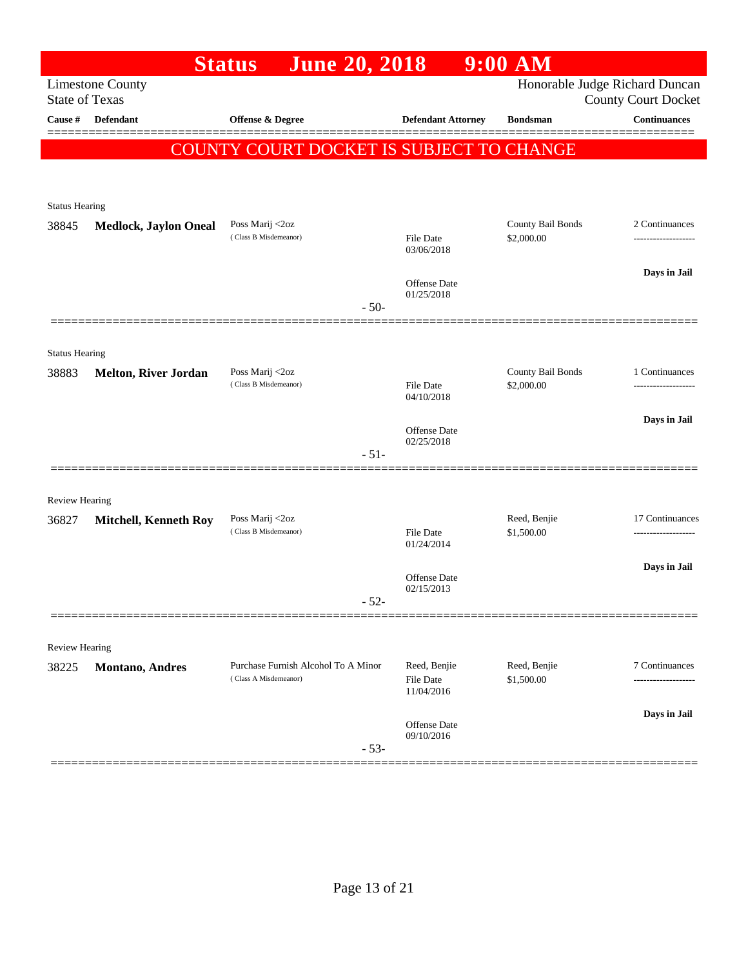|                       |                                                  | <b>June 20, 2018</b><br><b>Status</b>    |                                | $9:00$ AM                      |                            |
|-----------------------|--------------------------------------------------|------------------------------------------|--------------------------------|--------------------------------|----------------------------|
|                       | <b>Limestone County</b><br><b>State of Texas</b> |                                          |                                | Honorable Judge Richard Duncan | <b>County Court Docket</b> |
| Cause $\#$            | Defendant                                        | Offense & Degree                         | <b>Defendant Attorney</b>      | <b>Bondsman</b>                | <b>Continuances</b>        |
|                       |                                                  | COUNTY COURT DOCKET IS SUBJECT TO CHANGE |                                |                                |                            |
|                       |                                                  |                                          |                                |                                |                            |
| <b>Status Hearing</b> |                                                  |                                          |                                |                                |                            |
| 38845                 | <b>Medlock, Jaylon Oneal</b>                     | Poss Marij <2oz                          |                                | County Bail Bonds              | 2 Continuances             |
|                       |                                                  | (Class B Misdemeanor)                    | <b>File Date</b><br>03/06/2018 | \$2,000.00                     |                            |
|                       |                                                  |                                          | Offense Date                   |                                | Days in Jail               |
|                       |                                                  | $-50-$                                   | 01/25/2018                     |                                |                            |
|                       |                                                  |                                          |                                |                                |                            |
| <b>Status Hearing</b> |                                                  |                                          |                                |                                |                            |
| 38883                 | <b>Melton, River Jordan</b>                      | Poss Marij <2oz                          |                                | County Bail Bonds              | 1 Continuances             |
|                       |                                                  | (Class B Misdemeanor)                    | File Date<br>04/10/2018        | \$2,000.00                     |                            |
|                       |                                                  |                                          | Offense Date                   |                                | Days in Jail               |
|                       |                                                  | $-51-$                                   | 02/25/2018                     |                                |                            |
|                       |                                                  |                                          |                                |                                |                            |
| <b>Review Hearing</b> |                                                  |                                          |                                |                                |                            |
| 36827                 | <b>Mitchell, Kenneth Roy</b>                     | Poss Marij <2oz                          |                                | Reed, Benjie                   | 17 Continuances            |
|                       |                                                  | (Class B Misdemeanor)                    | File Date<br>01/24/2014        | \$1,500.00                     |                            |
|                       |                                                  |                                          |                                |                                | Days in Jail               |
|                       |                                                  |                                          | Offense Date<br>02/15/2013     |                                |                            |
|                       |                                                  | 52                                       |                                |                                |                            |
| <b>Review Hearing</b> |                                                  |                                          |                                |                                |                            |
| 38225                 | <b>Montano</b> , Andres                          | Purchase Furnish Alcohol To A Minor      | Reed, Benjie                   | Reed, Benjie                   | 7 Continuances             |
|                       |                                                  | (Class A Misdemeanor)                    | File Date<br>11/04/2016        | \$1,500.00                     | ---------------            |
|                       |                                                  |                                          |                                |                                | Days in Jail               |
|                       |                                                  |                                          | Offense Date<br>09/10/2016     |                                |                            |
|                       |                                                  | $-53-$                                   |                                |                                |                            |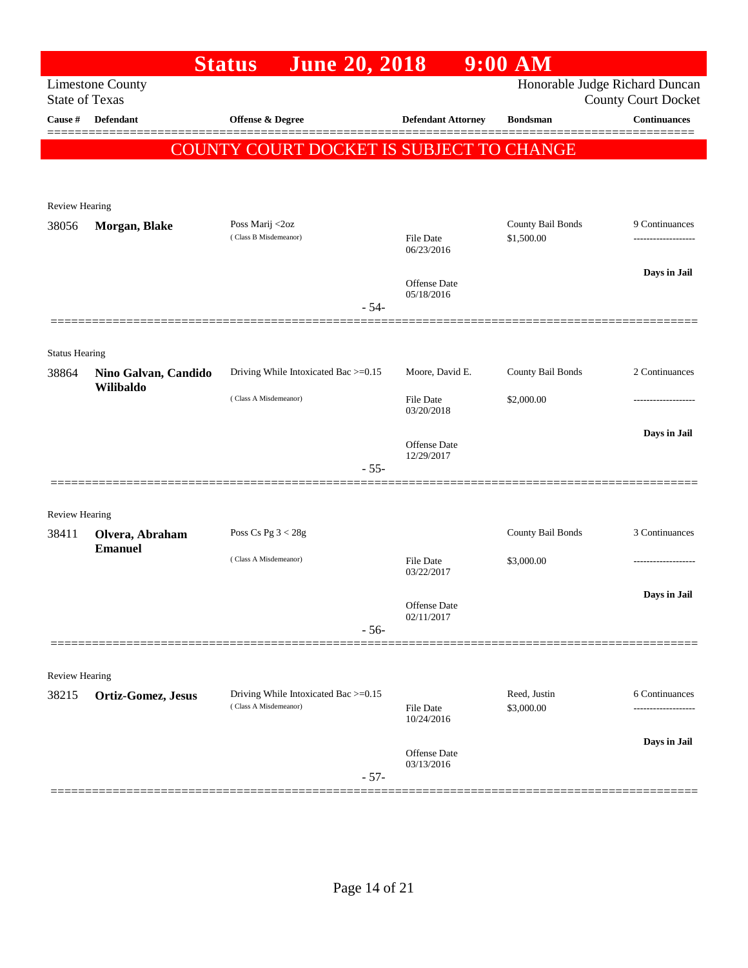|                       |                           | <b>June 20, 2018</b><br><b>Status</b>                         |                            | $9:00$ AM                  |                                                              |
|-----------------------|---------------------------|---------------------------------------------------------------|----------------------------|----------------------------|--------------------------------------------------------------|
| <b>State of Texas</b> | <b>Limestone County</b>   |                                                               |                            |                            | Honorable Judge Richard Duncan<br><b>County Court Docket</b> |
| <b>Cause</b> #        | Defendant                 | Offense & Degree                                              | <b>Defendant Attorney</b>  | <b>Bondsman</b>            | Continuances                                                 |
|                       |                           |                                                               |                            |                            |                                                              |
|                       |                           | <b>COUNTY COURT DOCKET IS SUBJECT TO CHANGE</b>               |                            |                            |                                                              |
|                       |                           |                                                               |                            |                            |                                                              |
| <b>Review Hearing</b> |                           |                                                               |                            |                            |                                                              |
| 38056                 | Morgan, Blake             | Poss Marij <2oz                                               |                            | County Bail Bonds          | 9 Continuances                                               |
|                       |                           | (Class B Misdemeanor)                                         | File Date<br>06/23/2016    | \$1,500.00                 |                                                              |
|                       |                           |                                                               |                            |                            | Days in Jail                                                 |
|                       |                           |                                                               | Offense Date<br>05/18/2016 |                            |                                                              |
|                       |                           | $-54-$                                                        |                            |                            |                                                              |
|                       |                           |                                                               |                            |                            |                                                              |
| <b>Status Hearing</b> |                           |                                                               |                            |                            |                                                              |
| 38864                 | Nino Galvan, Candido      | Driving While Intoxicated Bac >=0.15                          | Moore, David E.            | County Bail Bonds          | 2 Continuances                                               |
|                       | Wilibaldo                 | (Class A Misdemeanor)                                         | File Date                  | \$2,000.00                 |                                                              |
|                       |                           |                                                               | 03/20/2018                 |                            |                                                              |
|                       |                           |                                                               | Offense Date               |                            | Days in Jail                                                 |
|                       |                           | $-55-$                                                        | 12/29/2017                 |                            |                                                              |
|                       |                           |                                                               |                            |                            |                                                              |
| Review Hearing        |                           |                                                               |                            |                            |                                                              |
| 38411                 | Olvera, Abraham           | Poss Cs Pg $3 < 28g$                                          |                            | County Bail Bonds          | 3 Continuances                                               |
|                       | <b>Emanuel</b>            | (Class A Misdemeanor)                                         |                            |                            |                                                              |
|                       |                           |                                                               | File Date<br>03/22/2017    | \$3,000.00                 |                                                              |
|                       |                           |                                                               |                            |                            | Days in Jail                                                 |
|                       |                           |                                                               | Offense Date<br>02/11/2017 |                            |                                                              |
|                       |                           | $-56-$                                                        |                            |                            |                                                              |
|                       |                           |                                                               |                            |                            |                                                              |
| <b>Review Hearing</b> |                           |                                                               |                            |                            |                                                              |
| 38215                 | <b>Ortiz-Gomez, Jesus</b> | Driving While Intoxicated Bac >=0.15<br>(Class A Misdemeanor) | <b>File Date</b>           | Reed, Justin<br>\$3,000.00 | 6 Continuances<br>-----------------                          |
|                       |                           |                                                               | 10/24/2016                 |                            |                                                              |
|                       |                           |                                                               | <b>Offense Date</b>        |                            | Days in Jail                                                 |
|                       |                           | $-57-$                                                        | 03/13/2016                 |                            |                                                              |
|                       |                           |                                                               |                            |                            |                                                              |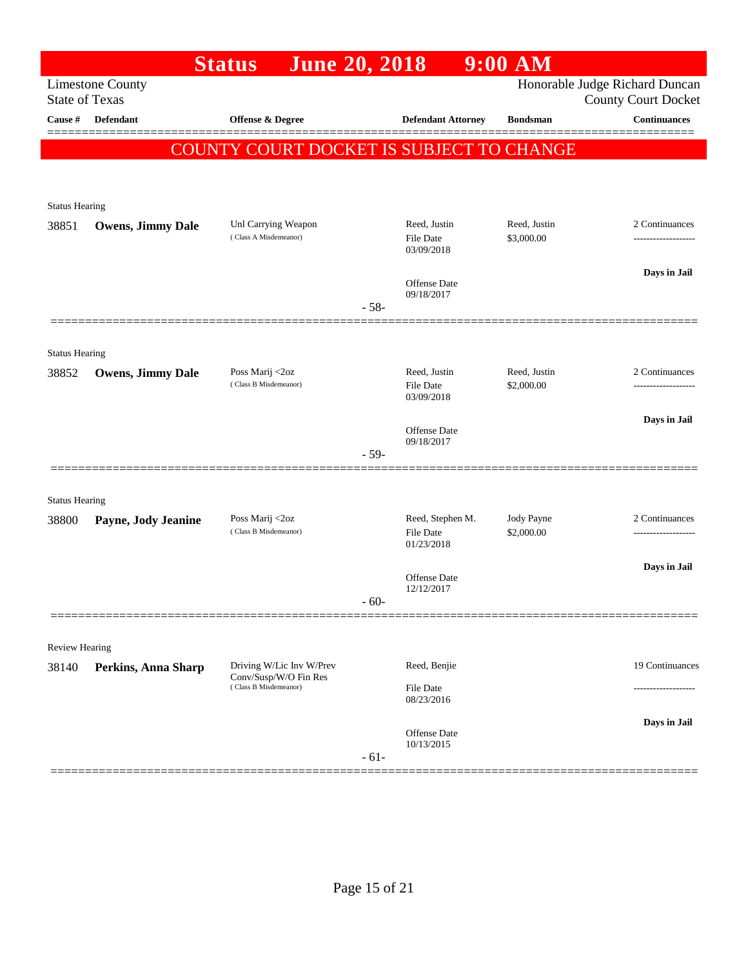|                                |                            | <b>June 20, 2018</b><br><b>Status</b>          |        |                                      | $9:00$ AM                  |                                                              |
|--------------------------------|----------------------------|------------------------------------------------|--------|--------------------------------------|----------------------------|--------------------------------------------------------------|
| <b>State of Texas</b>          | <b>Limestone County</b>    |                                                |        |                                      |                            | Honorable Judge Richard Duncan<br><b>County Court Docket</b> |
| Cause #                        | <b>Defendant</b>           | Offense & Degree                               |        | <b>Defendant Attorney</b>            | <b>Bondsman</b>            | <b>Continuances</b>                                          |
|                                |                            | COUNTY COURT DOCKET IS SUBJECT TO CHANGE       |        |                                      |                            |                                                              |
|                                |                            |                                                |        |                                      |                            |                                                              |
| <b>Status Hearing</b>          |                            |                                                |        |                                      |                            |                                                              |
| 38851                          | <b>Owens, Jimmy Dale</b>   | Unl Carrying Weapon<br>(Class A Misdemeanor)   |        | Reed, Justin<br>File Date            | Reed, Justin<br>\$3,000.00 | 2 Continuances                                               |
|                                |                            |                                                |        | 03/09/2018                           |                            |                                                              |
|                                |                            |                                                |        | Offense Date<br>09/18/2017           |                            | Days in Jail                                                 |
|                                |                            |                                                | $-58-$ |                                      |                            |                                                              |
|                                |                            |                                                |        |                                      |                            |                                                              |
| <b>Status Hearing</b><br>38852 | <b>Owens, Jimmy Dale</b>   | Poss Marij <2oz                                |        | Reed, Justin                         | Reed, Justin               | 2 Continuances                                               |
|                                |                            | (Class B Misdemeanor)                          |        | File Date<br>03/09/2018              | \$2,000.00                 | -------------------                                          |
|                                |                            |                                                |        |                                      |                            | Days in Jail                                                 |
|                                |                            |                                                | $-59-$ | <b>Offense Date</b><br>09/18/2017    |                            |                                                              |
|                                |                            |                                                |        |                                      |                            |                                                              |
| <b>Status Hearing</b>          |                            |                                                |        |                                      |                            |                                                              |
| 38800                          | Payne, Jody Jeanine        | Poss Marij <2oz<br>(Class B Misdemeanor)       |        | Reed, Stephen M.<br><b>File Date</b> | Jody Payne<br>\$2,000.00   | 2 Continuances<br>-------------------                        |
|                                |                            |                                                |        | 01/23/2018                           |                            |                                                              |
|                                |                            |                                                |        | Offense Date<br>12/12/2017           |                            | Days in Jail                                                 |
|                                |                            |                                                | $-60-$ |                                      |                            |                                                              |
|                                |                            |                                                |        |                                      |                            |                                                              |
| Review Hearing<br>38140        | <b>Perkins, Anna Sharp</b> | Driving W/Lic Inv W/Prev                       |        | Reed, Benjie                         |                            | 19 Continuances                                              |
|                                |                            | Conv/Susp/W/O Fin Res<br>(Class B Misdemeanor) |        | File Date                            |                            |                                                              |
|                                |                            |                                                |        | 08/23/2016                           |                            | Days in Jail                                                 |
|                                |                            |                                                |        | Offense Date<br>10/13/2015           |                            |                                                              |
|                                |                            |                                                | $-61-$ |                                      |                            |                                                              |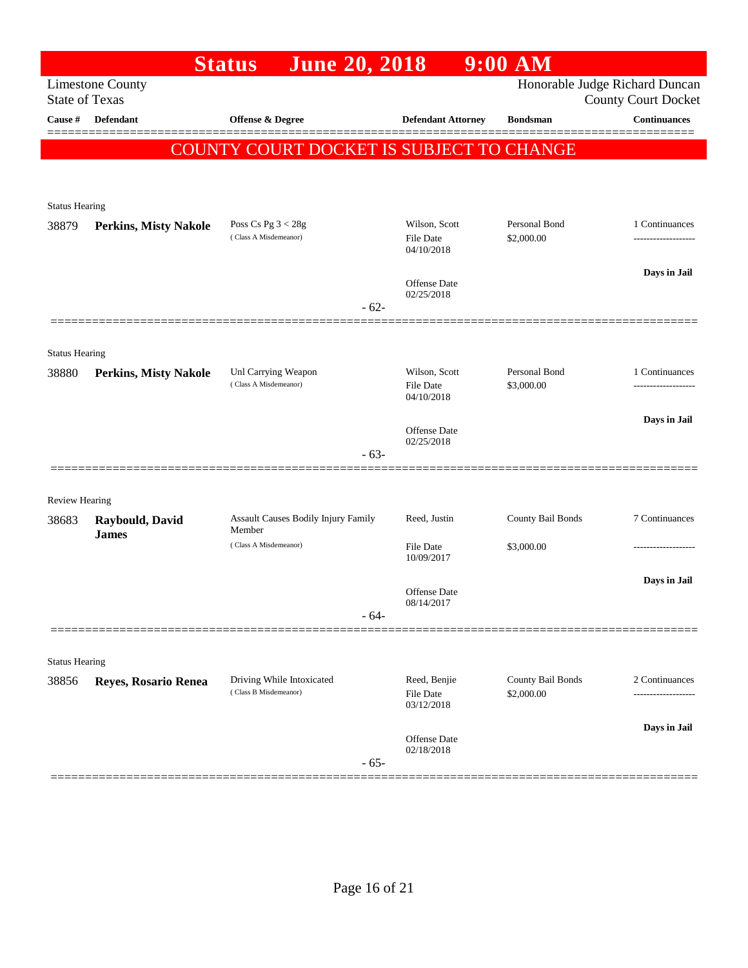|                                |                                 | <b>June 20, 2018</b><br><b>Status</b>              |                                   | $9:00$ AM                       |                                            |
|--------------------------------|---------------------------------|----------------------------------------------------|-----------------------------------|---------------------------------|--------------------------------------------|
| <b>State of Texas</b>          | <b>Limestone County</b>         |                                                    |                                   |                                 | Honorable Judge Richard Duncan             |
| Cause #                        | <b>Defendant</b>                | Offense & Degree                                   | <b>Defendant Attorney</b>         | <b>Bondsman</b>                 | <b>County Court Docket</b><br>Continuances |
|                                |                                 |                                                    |                                   |                                 |                                            |
|                                |                                 | <b>COUNTY COURT DOCKET IS SUBJECT TO CHANGE</b>    |                                   |                                 |                                            |
|                                |                                 |                                                    |                                   |                                 |                                            |
| <b>Status Hearing</b>          |                                 |                                                    |                                   |                                 |                                            |
| 38879                          | <b>Perkins, Misty Nakole</b>    | Poss Cs Pg $3 < 28g$<br>(Class A Misdemeanor)      | Wilson, Scott                     | Personal Bond                   | 1 Continuances                             |
|                                |                                 |                                                    | <b>File Date</b><br>04/10/2018    | \$2,000.00                      |                                            |
|                                |                                 |                                                    | Offense Date                      |                                 | Days in Jail                               |
|                                |                                 |                                                    | 02/25/2018                        |                                 |                                            |
|                                |                                 | $-62-$                                             |                                   |                                 |                                            |
|                                |                                 |                                                    |                                   |                                 |                                            |
| <b>Status Hearing</b><br>38880 | <b>Perkins, Misty Nakole</b>    | Unl Carrying Weapon                                | Wilson, Scott                     | Personal Bond                   | 1 Continuances                             |
|                                |                                 | (Class A Misdemeanor)                              | <b>File Date</b><br>04/10/2018    | \$3,000.00                      |                                            |
|                                |                                 |                                                    |                                   |                                 | Days in Jail                               |
|                                |                                 |                                                    | <b>Offense Date</b><br>02/25/2018 |                                 |                                            |
|                                |                                 | $-63-$                                             |                                   |                                 |                                            |
|                                |                                 |                                                    |                                   |                                 |                                            |
| <b>Review Hearing</b>          |                                 |                                                    |                                   |                                 |                                            |
| 38683                          | Raybould, David<br><b>James</b> | Assault Causes Bodily Injury Family<br>Member      | Reed, Justin                      | County Bail Bonds               | 7 Continuances                             |
|                                |                                 | (Class A Misdemeanor)                              | File Date<br>10/09/2017           | \$3,000.00                      |                                            |
|                                |                                 |                                                    |                                   |                                 | Days in Jail                               |
|                                |                                 |                                                    | Offense Date<br>08/14/2017        |                                 |                                            |
|                                |                                 | $-64-$                                             |                                   |                                 |                                            |
|                                |                                 |                                                    |                                   |                                 |                                            |
| <b>Status Hearing</b>          |                                 |                                                    |                                   |                                 |                                            |
| 38856                          | Reyes, Rosario Renea            | Driving While Intoxicated<br>(Class B Misdemeanor) | Reed, Benjie<br><b>File Date</b>  | County Bail Bonds<br>\$2,000.00 | 2 Continuances<br>.                        |
|                                |                                 |                                                    | 03/12/2018                        |                                 |                                            |
|                                |                                 |                                                    | Offense Date                      |                                 | Days in Jail                               |
|                                |                                 | $-65-$                                             | 02/18/2018                        |                                 |                                            |
|                                |                                 |                                                    |                                   |                                 |                                            |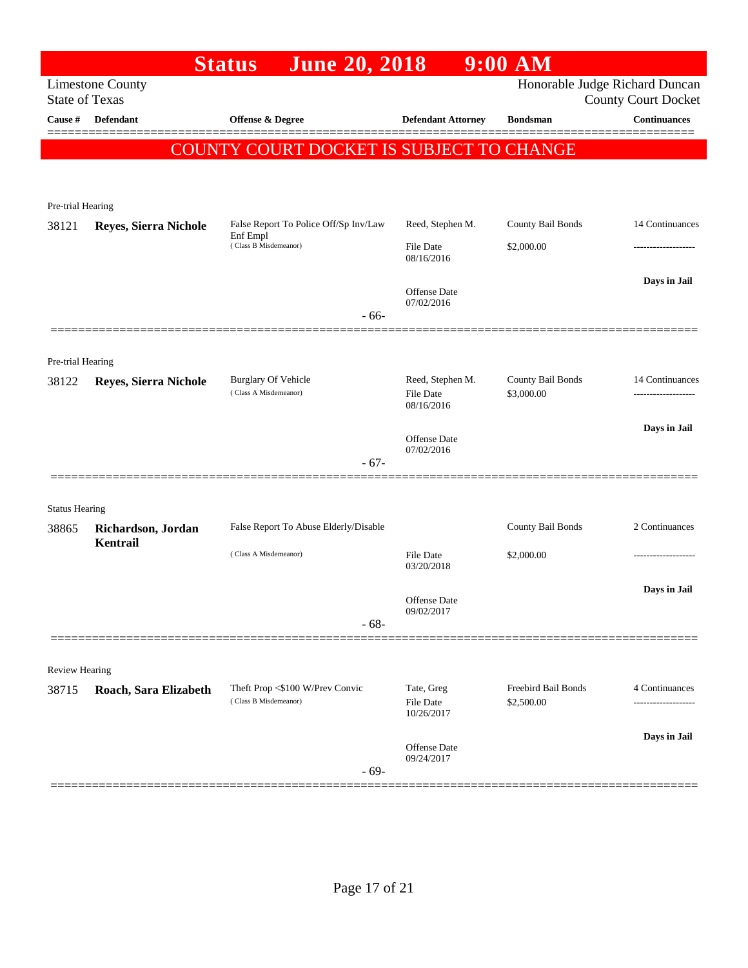|                       |                                | <b>June 20, 2018</b><br><b>Status</b>               |                                      | $9:00$ AM                       |                            |
|-----------------------|--------------------------------|-----------------------------------------------------|--------------------------------------|---------------------------------|----------------------------|
|                       | <b>Limestone County</b>        |                                                     |                                      | Honorable Judge Richard Duncan  |                            |
| <b>State of Texas</b> |                                |                                                     |                                      |                                 | <b>County Court Docket</b> |
| Cause #               | <b>Defendant</b>               | Offense & Degree                                    | <b>Defendant Attorney</b>            | <b>Bondsman</b>                 | <b>Continuances</b>        |
|                       |                                | COUNTY COURT DOCKET IS SUBJECT TO CHANGE            |                                      |                                 |                            |
|                       |                                |                                                     |                                      |                                 |                            |
|                       |                                |                                                     |                                      |                                 |                            |
| Pre-trial Hearing     |                                | False Report To Police Off/Sp Inv/Law               | Reed, Stephen M.                     | County Bail Bonds               | 14 Continuances            |
| 38121                 | Reyes, Sierra Nichole          | Enf Empl<br>(Class B Misdemeanor)                   |                                      |                                 |                            |
|                       |                                |                                                     | File Date<br>08/16/2016              | \$2,000.00                      |                            |
|                       |                                |                                                     |                                      |                                 | Days in Jail               |
|                       |                                |                                                     | Offense Date<br>07/02/2016           |                                 |                            |
|                       |                                | $-66-$                                              |                                      |                                 |                            |
|                       |                                |                                                     |                                      |                                 |                            |
| Pre-trial Hearing     |                                |                                                     |                                      |                                 |                            |
| 38122                 | Reyes, Sierra Nichole          | <b>Burglary Of Vehicle</b><br>(Class A Misdemeanor) | Reed, Stephen M.<br><b>File Date</b> | County Bail Bonds<br>\$3,000.00 | 14 Continuances            |
|                       |                                |                                                     | 08/16/2016                           |                                 |                            |
|                       |                                |                                                     |                                      |                                 | Days in Jail               |
|                       |                                |                                                     | Offense Date<br>07/02/2016           |                                 |                            |
|                       |                                | $-67-$                                              |                                      |                                 |                            |
|                       |                                |                                                     |                                      |                                 |                            |
| <b>Status Hearing</b> |                                |                                                     |                                      |                                 |                            |
| 38865                 | Richardson, Jordan<br>Kentrail | False Report To Abuse Elderly/Disable               |                                      | County Bail Bonds               | 2 Continuances             |
|                       |                                | (Class A Misdemeanor)                               | <b>File Date</b>                     | \$2,000.00                      |                            |
|                       |                                |                                                     | 03/20/2018                           |                                 |                            |
|                       |                                |                                                     | Offense Date                         |                                 | Days in Jail               |
|                       |                                | $-68-$                                              | 09/02/2017                           |                                 |                            |
|                       |                                |                                                     |                                      |                                 |                            |
| Review Hearing        |                                |                                                     |                                      |                                 |                            |
| 38715                 | Roach, Sara Elizabeth          | Theft Prop <\$100 W/Prev Convic                     | Tate, Greg                           | Freebird Bail Bonds             | 4 Continuances             |
|                       |                                | (Class B Misdemeanor)                               | File Date<br>10/26/2017              | \$2,500.00                      |                            |
|                       |                                |                                                     |                                      |                                 |                            |
|                       |                                |                                                     | Offense Date                         |                                 | Days in Jail               |
|                       |                                | $-69-$                                              | 09/24/2017                           |                                 |                            |
|                       |                                |                                                     |                                      |                                 |                            |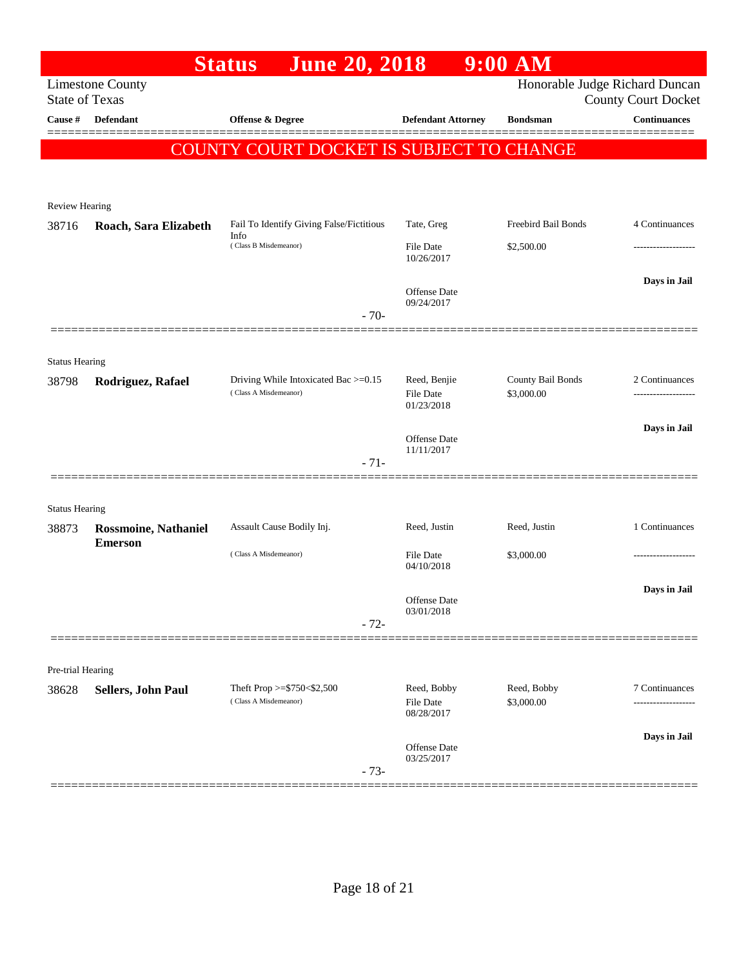|                                  |                             | <b>June 20, 2018</b><br><b>Status</b>    |                           | $9:00$ AM                      |                                                   |
|----------------------------------|-----------------------------|------------------------------------------|---------------------------|--------------------------------|---------------------------------------------------|
|                                  | <b>Limestone County</b>     |                                          |                           | Honorable Judge Richard Duncan |                                                   |
| <b>State of Texas</b><br>Cause # | <b>Defendant</b>            | Offense & Degree                         | <b>Defendant Attorney</b> | <b>Bondsman</b>                | <b>County Court Docket</b><br><b>Continuances</b> |
|                                  |                             |                                          |                           |                                |                                                   |
|                                  |                             | COUNTY COURT DOCKET IS SUBJECT TO CHANGE |                           |                                |                                                   |
|                                  |                             |                                          |                           |                                |                                                   |
| Review Hearing                   |                             |                                          |                           |                                |                                                   |
| 38716                            | Roach, Sara Elizabeth       | Fail To Identify Giving False/Fictitious | Tate, Greg                | Freebird Bail Bonds            | 4 Continuances                                    |
|                                  |                             | Info<br>(Class B Misdemeanor)            | <b>File Date</b>          | \$2,500.00                     |                                                   |
|                                  |                             |                                          | 10/26/2017                |                                |                                                   |
|                                  |                             |                                          | Offense Date              |                                | Days in Jail                                      |
|                                  |                             | $-70-$                                   | 09/24/2017                |                                |                                                   |
|                                  |                             |                                          |                           |                                |                                                   |
| <b>Status Hearing</b>            |                             |                                          |                           |                                |                                                   |
| 38798                            | Rodriguez, Rafael           | Driving While Intoxicated Bac >=0.15     | Reed, Benjie              | County Bail Bonds              | 2 Continuances                                    |
|                                  |                             | (Class A Misdemeanor)                    | File Date<br>01/23/2018   | \$3,000.00                     |                                                   |
|                                  |                             |                                          |                           |                                | Days in Jail                                      |
|                                  |                             |                                          | Offense Date              |                                |                                                   |
|                                  |                             | $-71-$                                   | 11/11/2017                |                                |                                                   |
|                                  |                             |                                          |                           |                                |                                                   |
| <b>Status Hearing</b>            |                             |                                          |                           |                                |                                                   |
| 38873                            | <b>Rossmoine, Nathaniel</b> | Assault Cause Bodily Inj.                | Reed, Justin              | Reed, Justin                   | 1 Continuances                                    |
|                                  | <b>Emerson</b>              | (Class A Misdemeanor)                    | <b>File Date</b>          | \$3,000.00                     |                                                   |
|                                  |                             |                                          | 04/10/2018                |                                |                                                   |
|                                  |                             |                                          | Offense Date              |                                | Days in Jail                                      |
|                                  |                             | $-72-$                                   | 03/01/2018                |                                |                                                   |
|                                  |                             |                                          |                           |                                |                                                   |
| Pre-trial Hearing                |                             |                                          |                           |                                |                                                   |
| 38628                            | Sellers, John Paul          | Theft Prop >=\$750<\$2,500               | Reed, Bobby               | Reed, Bobby                    | 7 Continuances                                    |
|                                  |                             | (Class A Misdemeanor)                    | File Date<br>08/28/2017   | \$3,000.00                     |                                                   |
|                                  |                             |                                          |                           |                                |                                                   |
|                                  |                             |                                          | Offense Date              |                                | Days in Jail                                      |
|                                  |                             | $-73-$                                   | 03/25/2017                |                                |                                                   |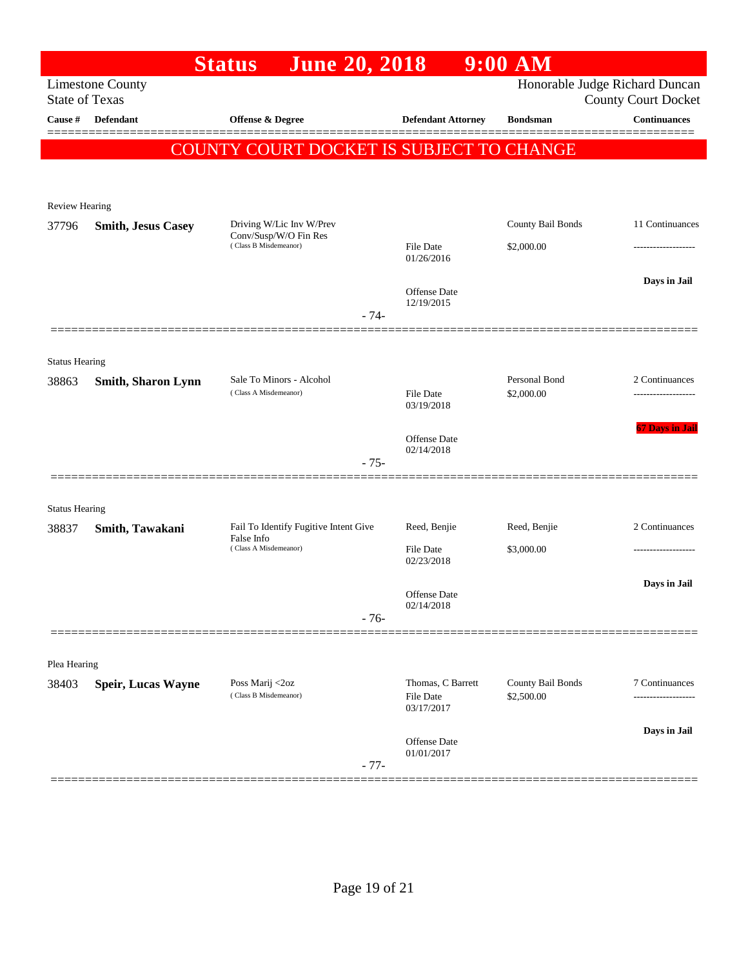|                       |                           | <b>June 20, 2018</b><br><b>Status</b>             |        |                                   | $9:00$ AM         |                                                              |
|-----------------------|---------------------------|---------------------------------------------------|--------|-----------------------------------|-------------------|--------------------------------------------------------------|
| <b>State of Texas</b> | <b>Limestone County</b>   |                                                   |        |                                   |                   | Honorable Judge Richard Duncan<br><b>County Court Docket</b> |
| <b>Cause</b> #        | Defendant                 | Offense & Degree                                  |        | <b>Defendant Attorney</b>         | <b>Bondsman</b>   | Continuances                                                 |
|                       |                           | <b>COUNTY COURT DOCKET IS SUBJECT TO CHANGE</b>   |        |                                   |                   |                                                              |
|                       |                           |                                                   |        |                                   |                   |                                                              |
| <b>Review Hearing</b> |                           |                                                   |        |                                   |                   |                                                              |
| 37796                 | <b>Smith, Jesus Casey</b> | Driving W/Lic Inv W/Prev<br>Conv/Susp/W/O Fin Res |        |                                   | County Bail Bonds | 11 Continuances                                              |
|                       |                           | (Class B Misdemeanor)                             |        | <b>File Date</b><br>01/26/2016    | \$2,000.00        |                                                              |
|                       |                           |                                                   |        |                                   |                   | Days in Jail                                                 |
|                       |                           |                                                   |        | <b>Offense Date</b><br>12/19/2015 |                   |                                                              |
|                       |                           |                                                   | $-74-$ |                                   |                   |                                                              |
| <b>Status Hearing</b> |                           |                                                   |        |                                   |                   |                                                              |
| 38863                 | <b>Smith, Sharon Lynn</b> | Sale To Minors - Alcohol                          |        |                                   | Personal Bond     | 2 Continuances                                               |
|                       |                           | (Class A Misdemeanor)                             |        | <b>File Date</b><br>03/19/2018    | \$2,000.00        | ----------------                                             |
|                       |                           |                                                   |        |                                   |                   | <b>67 Days in Jail</b>                                       |
|                       |                           |                                                   |        | <b>Offense Date</b><br>02/14/2018 |                   |                                                              |
|                       |                           |                                                   | $-75-$ |                                   |                   |                                                              |
| <b>Status Hearing</b> |                           |                                                   |        |                                   |                   |                                                              |
| 38837                 | Smith, Tawakani           | Fail To Identify Fugitive Intent Give             |        | Reed, Benjie                      | Reed, Benjie      | 2 Continuances                                               |
|                       |                           | False Info<br>(Class A Misdemeanor)               |        | <b>File Date</b><br>02/23/2018    | \$3,000.00        |                                                              |
|                       |                           |                                                   |        |                                   |                   | Days in Jail                                                 |
|                       |                           |                                                   |        | Offense Date<br>02/14/2018        |                   |                                                              |
|                       |                           |                                                   | $-76-$ |                                   |                   |                                                              |
|                       |                           |                                                   |        |                                   |                   |                                                              |
| Plea Hearing          |                           | Poss Marij <2oz                                   |        | Thomas, C Barrett                 | County Bail Bonds | 7 Continuances                                               |
| 38403                 | Speir, Lucas Wayne        | (Class B Misdemeanor)                             |        | <b>File Date</b><br>03/17/2017    | \$2,500.00        |                                                              |
|                       |                           |                                                   |        |                                   |                   | Days in Jail                                                 |
|                       |                           |                                                   | $-77-$ | Offense Date<br>01/01/2017        |                   |                                                              |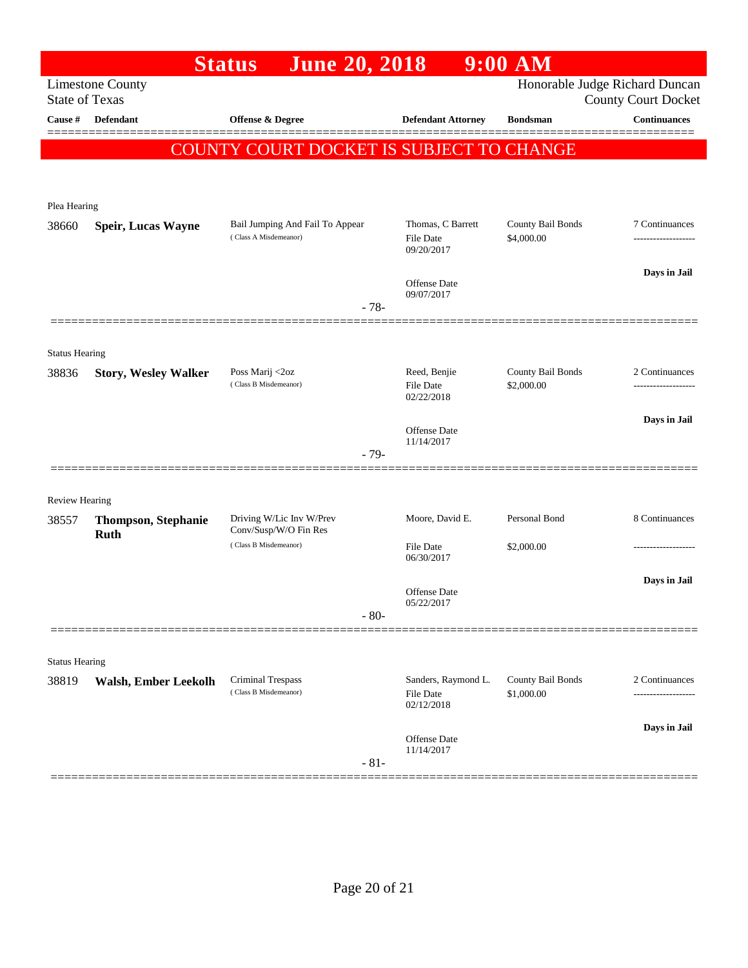|                                |                                                  | <b>June 20, 2018</b><br><b>Status</b>                    |                                                       | $9:00$ AM                       |                                                              |
|--------------------------------|--------------------------------------------------|----------------------------------------------------------|-------------------------------------------------------|---------------------------------|--------------------------------------------------------------|
|                                | <b>Limestone County</b><br><b>State of Texas</b> |                                                          |                                                       |                                 | Honorable Judge Richard Duncan<br><b>County Court Docket</b> |
| Cause #                        | <b>Defendant</b>                                 | Offense & Degree                                         | <b>Defendant Attorney</b>                             | <b>Bondsman</b>                 | Continuances                                                 |
|                                |                                                  | COUNTY COURT DOCKET IS SUBJECT TO CHANGE                 |                                                       |                                 |                                                              |
|                                |                                                  |                                                          |                                                       |                                 |                                                              |
| Plea Hearing                   |                                                  |                                                          |                                                       |                                 |                                                              |
| 38660                          | <b>Speir, Lucas Wayne</b>                        | Bail Jumping And Fail To Appear<br>(Class A Misdemeanor) | Thomas, C Barrett<br><b>File Date</b>                 | County Bail Bonds<br>\$4,000.00 | 7 Continuances<br>-------------------                        |
|                                |                                                  |                                                          | 09/20/2017                                            |                                 |                                                              |
|                                |                                                  |                                                          | Offense Date<br>09/07/2017                            |                                 | Days in Jail                                                 |
|                                |                                                  | $-78-$                                                   |                                                       |                                 |                                                              |
|                                |                                                  |                                                          |                                                       |                                 |                                                              |
| <b>Status Hearing</b><br>38836 | <b>Story, Wesley Walker</b>                      | Poss Marij <2oz                                          | Reed, Benjie                                          | County Bail Bonds               | 2 Continuances                                               |
|                                |                                                  | (Class B Misdemeanor)                                    | <b>File Date</b><br>02/22/2018                        | \$2,000.00                      |                                                              |
|                                |                                                  |                                                          | <b>Offense Date</b>                                   |                                 | Days in Jail                                                 |
|                                |                                                  | $-79-$                                                   | 11/14/2017                                            |                                 |                                                              |
|                                |                                                  |                                                          |                                                       |                                 |                                                              |
| <b>Review Hearing</b>          |                                                  |                                                          |                                                       |                                 |                                                              |
| 38557                          | <b>Thompson, Stephanie</b><br><b>Ruth</b>        | Driving W/Lic Inv W/Prev<br>Conv/Susp/W/O Fin Res        | Moore, David E.                                       | Personal Bond                   | 8 Continuances                                               |
|                                |                                                  | (Class B Misdemeanor)                                    | <b>File Date</b><br>06/30/2017                        | \$2,000.00                      | .                                                            |
|                                |                                                  |                                                          | <b>Offense Date</b>                                   |                                 | Days in Jail                                                 |
|                                |                                                  | $-80-$                                                   | 05/22/2017                                            |                                 |                                                              |
|                                |                                                  |                                                          |                                                       |                                 |                                                              |
| <b>Status Hearing</b>          |                                                  |                                                          |                                                       |                                 |                                                              |
| 38819                          | <b>Walsh, Ember Leekolh</b>                      | Criminal Trespass<br>(Class B Misdemeanor)               | Sanders, Raymond L.<br><b>File Date</b><br>02/12/2018 | County Bail Bonds<br>\$1,000.00 | 2 Continuances                                               |
|                                |                                                  |                                                          | Offense Date                                          |                                 | Days in Jail                                                 |
|                                |                                                  | $-81-$                                                   | 11/14/2017                                            |                                 |                                                              |